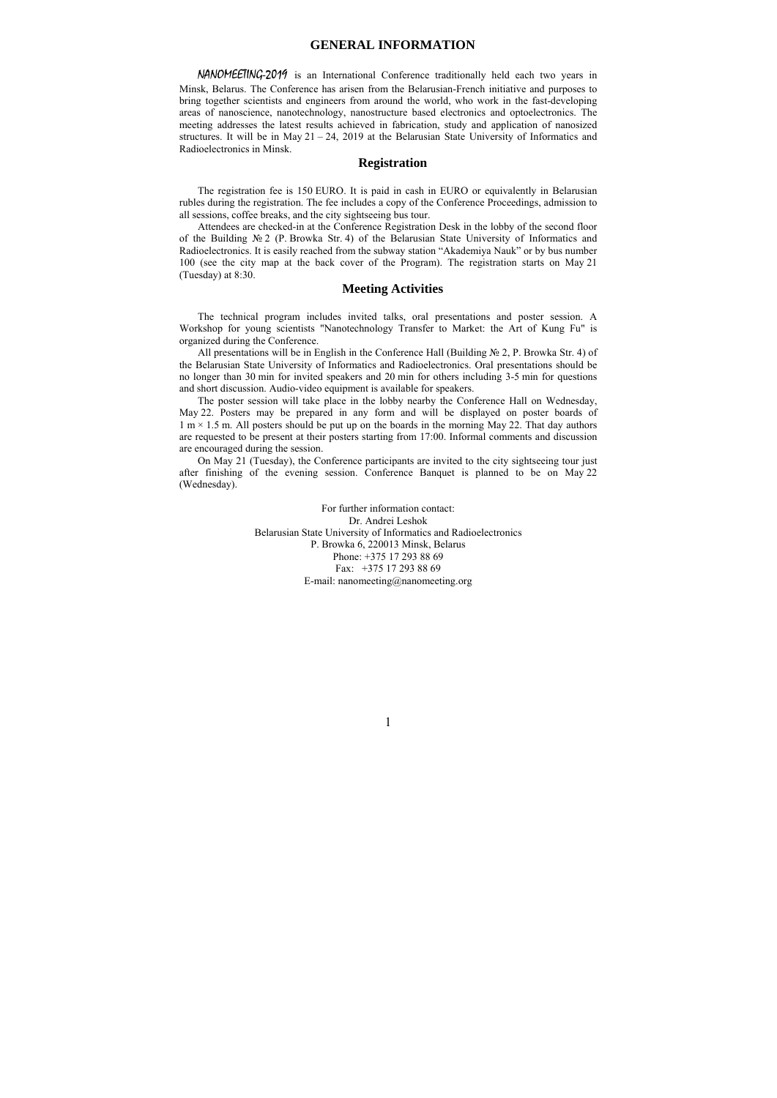### **GENERAL INFORMATION**

NANOMEETING-2019 is an International Conference traditionally held each two years in Minsk, Belarus. The Conference has arisen from the Belarusian-French initiative and purposes to bring together scientists and engineers from around the world, who work in the fast-developing areas of nanoscience, nanotechnology, nanostructure based electronics and optoelectronics. The meeting addresses the latest results achieved in fabrication, study and application of nanosized structures. It will be in May  $21 - 24$ , 2019 at the Belarusian State University of Informatics and Radioelectronics in Minsk.

#### **Registration**

The registration fee is 150 EURO. It is paid in cash in EURO or equivalently in Belarusian rubles during the registration. The fee includes a copy of the Conference Proceedings, admission to all sessions, coffee breaks, and the city sightseeing bus tour.

Attendees are checked-in at the Conference Registration Desk in the lobby of the second floor of the Building № 2 (P. Browka Str. 4) of the Belarusian State University of Informatics and Radioelectronics. It is easily reached from the subway station "Akademiya Nauk" or by bus number 100 (see the city map at the back cover of the Program). The registration starts on May 21 (Tuesday) at 8:30.

### **Meeting Activities**

The technical program includes invited talks, oral presentations and poster session. A Workshop for young scientists "Nanotechnology Transfer to Market: the Art of Kung Fu" is organized during the Conference.

All presentations will be in English in the Conference Hall (Building № 2, P. Browka Str. 4) of the Belarusian State University of Informatics and Radioelectronics. Oral presentations should be no longer than 30 min for invited speakers and 20 min for others including 3-5 min for questions and short discussion. Audio-video equipment is available for speakers.

The poster session will take place in the lobby nearby the Conference Hall on Wednesday, May 22. Posters may be prepared in any form and will be displayed on poster boards of  $1 \text{ m} \times 1.5 \text{ m}$ . All posters should be put up on the boards in the morning May 22. That day authors are requested to be present at their posters starting from 17:00. Informal comments and discussion are encouraged during the session.

On May 21 (Tuesday), the Conference participants are invited to the city sightseeing tour just after finishing of the evening session. Conference Banquet is planned to be on May 22 (Wednesday).

> For further information contact: Dr. Andrei Leshok Belarusian State University of Informatics and Radioelectronics P. Browka 6, 220013 Minsk, Belarus Phone: +375 17 293 88 69 Fax: +375 17 293 88 69 E-mail: nanomeeting@nanomeeting.org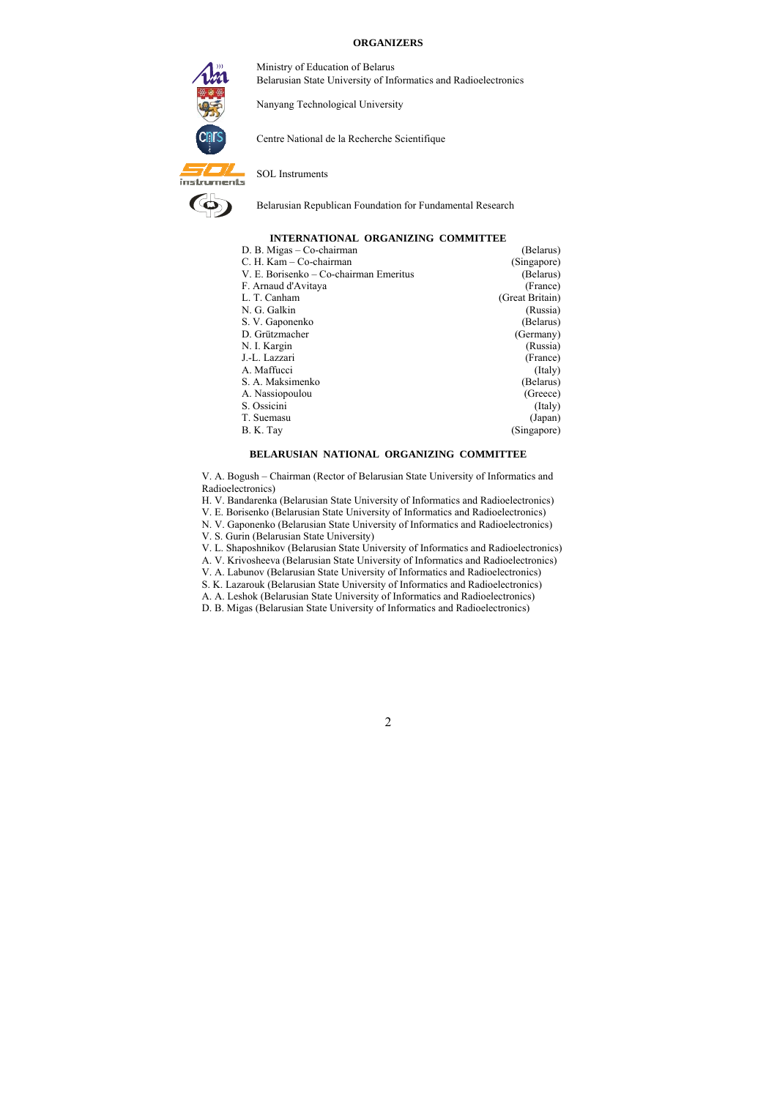#### **ORGANIZERS**



Ministry of Education of Belarus Belarusian State University of Informatics and Radioelectronics

Nanyang Technological University

Centre National de la Recherche Scientifique

SOL Instruments



Belarusian Republican Foundation for Fundamental Research

#### **INTERNATIONAL ORGANIZING COMMITTEE**

| (Belarus)       |
|-----------------|
| (Singapore)     |
| (Belarus)       |
| (France)        |
| (Great Britain) |
| (Russia)        |
| (Belarus)       |
| (Germany)       |
| (Russia)        |
| (France)        |
| (Italy)         |
| (Belarus)       |
| (Greece)        |
| (Italy)         |
| (Japan)         |
| (Singapore)     |
|                 |

### **BELARUSIAN NATIONAL ORGANIZING COMMITTEE**

V. A. Bogush – Chairman (Rector of Belarusian State University of Informatics and Radioelectronics)

- H. V. Bandarenka (Belarusian State University of Informatics and Radioelectronics)
- V. E. Borisenko (Belarusian State University of Informatics and Radioelectronics)
- N. V. Gaponenko (Belarusian State University of Informatics and Radioelectronics)
- V. S. Gurin (Belarusian State University)
- V. L. Shaposhnikov (Belarusian State University of Informatics and Radioelectronics)
- A. V. Krivosheeva (Belarusian State University of Informatics and Radioelectronics)
- V. A. Labunov (Belarusian State University of Informatics and Radioelectronics)
- S. K. Lazarouk (Belarusian State University of Informatics and Radioelectronics)
- A. A. Leshok (Belarusian State University of Informatics and Radioelectronics)
- D. B. Migas (Belarusian State University of Informatics and Radioelectronics)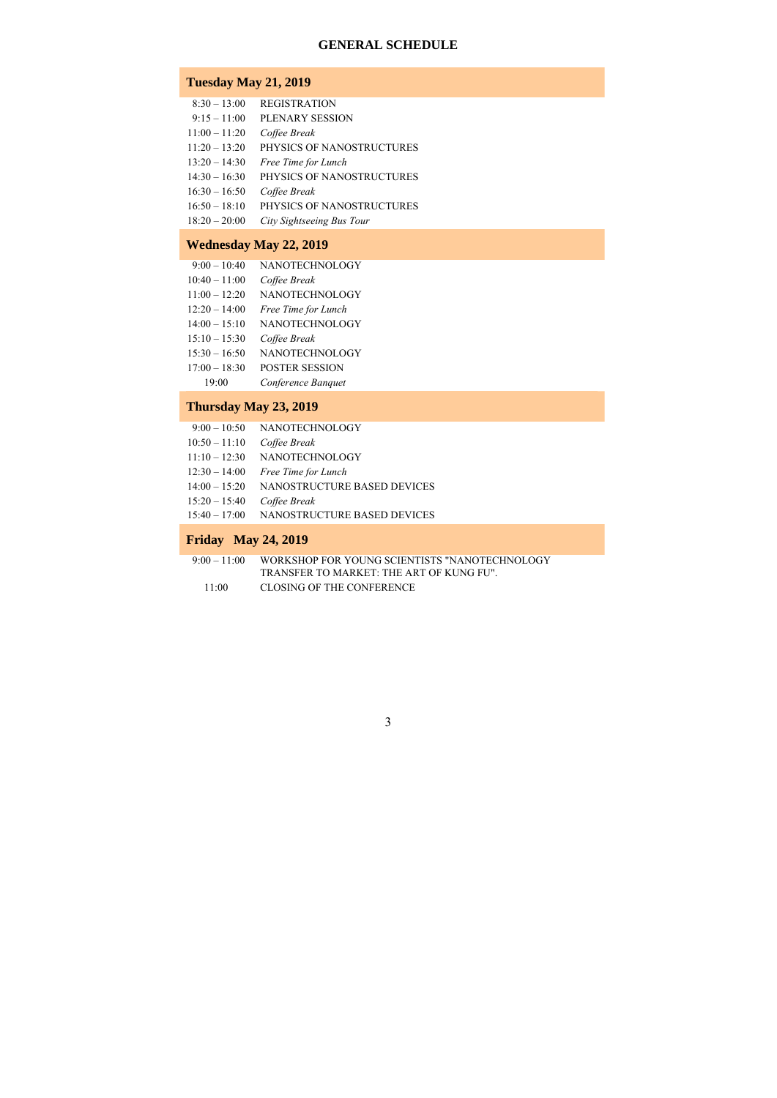## **GENERAL SCHEDULE**

## **Tuesday May 21, 2019**

- 8:30 13:00 REGISTRATION
- 9:15 11:00 PLENARY SESSION
- 11:00 11:20 *Coffee Break*
- 11:20 13:20 PHYSICS OF NANOSTRUCTURES
- 13:20 14:30 *Free Time for Lunch*
- 14:30 16:30 PHYSICS OF NANOSTRUCTURES
- 16:30 16:50 *Coffee Break*
- 16:50 18:10 PHYSICS OF NANOSTRUCTURES
- 18:20 20:00 *City Sightseeing Bus Tour*

# **Wednesday May 22, 2019**

- 9:00 10:40 NANOTECHNOLOGY
- 10:40 11:00 *Coffee Break*
- 11:00 12:20 NANOTECHNOLOGY
- 12:20 14:00 *Free Time for Lunch*
- 14:00 15:10 NANOTECHNOLOGY
- 15:10 15:30 *Coffee Break*
- 15:30 16:50 NANOTECHNOLOGY
- 17:00 18:30 POSTER SESSION
	- 19:00 *Conference Banquet*

### **Thursday May 23, 2019**

- 9:00 10:50 NANOTECHNOLOGY
- 10:50 11:10 *Coffee Break*
- 11:10 12:30 NANOTECHNOLOGY
- 12:30 14:00 *Free Time for Lunch*
- 14:00 15:20 NANOSTRUCTURE BASED DEVICES
- 15:20 15:40 *Coffee Break*
- 15:40 17:00 NANOSTRUCTURE BASED DEVICES

### **Friday May 24, 2019**

 9:00 – 11:00 WORKSHOP FOR YOUNG SCIENTISTS "NANOTECHNOLOGY TRANSFER TO MARKET: THE ART OF KUNG FU".

11:00 CLOSING OF THE CONFERENCE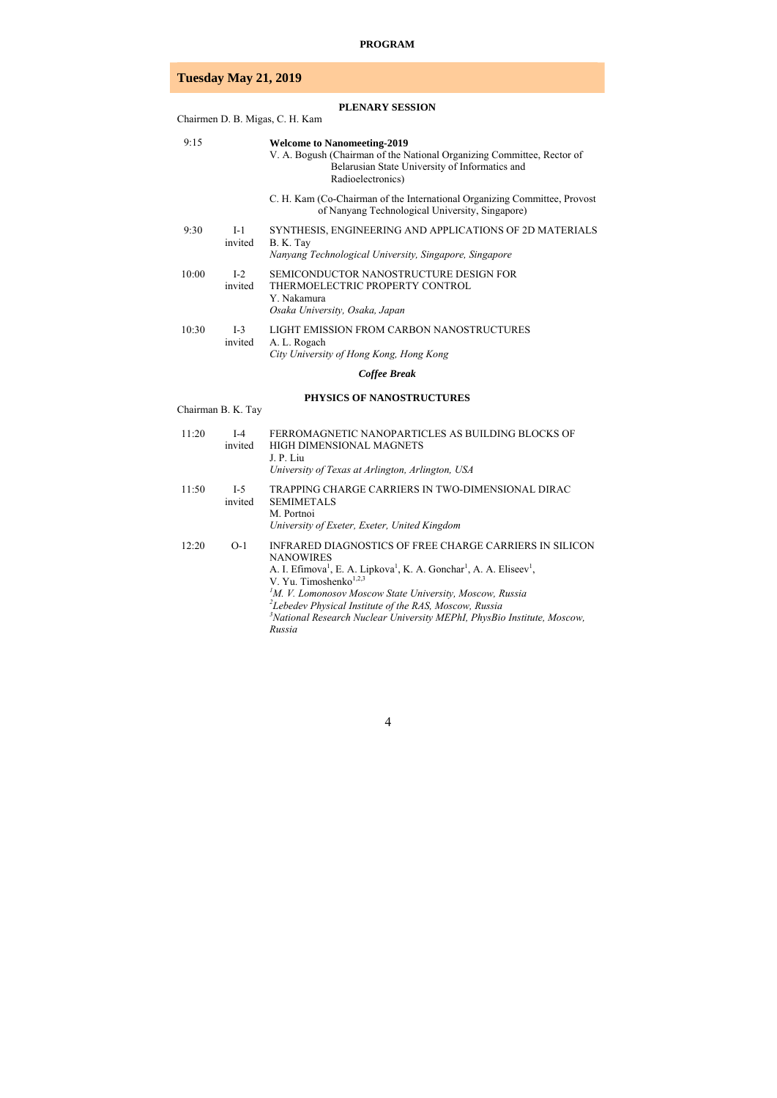### **PROGRAM**

# **Tuesday May 21, 2019**

|       |                  | <b>PLENARY SESSION</b><br>Chairmen D. B. Migas, C. H. Kam                                                                                                                           |
|-------|------------------|-------------------------------------------------------------------------------------------------------------------------------------------------------------------------------------|
| 9:15  |                  | <b>Welcome to Nanomeeting-2019</b><br>V. A. Bogush (Chairman of the National Organizing Committee, Rector of<br>Belarusian State University of Informatics and<br>Radioelectronics) |
|       |                  | C. H. Kam (Co-Chairman of the International Organizing Committee, Provost<br>of Nanyang Technological University, Singapore)                                                        |
| 9:30  | $I-1$<br>invited | SYNTHESIS, ENGINEERING AND APPLICATIONS OF 2D MATERIALS<br>B. K. Tay<br>Nanyang Technological University, Singapore, Singapore                                                      |
| 10:00 | $I-2$<br>invited | SEMICONDUCTOR NANOSTRUCTURE DESIGN FOR<br>THERMOELECTRIC PROPERTY CONTROL<br>Y. Nakamura<br>Osaka University, Osaka, Japan                                                          |
| 10:30 | $I-3$<br>invited | LIGHT EMISSION FROM CARBON NANOSTRUCTURES<br>A. L. Rogach<br>City University of Hong Kong, Hong Kong                                                                                |
|       |                  | Coffee Break                                                                                                                                                                        |

### **PHYSICS OF NANOSTRUCTURES**

Chairman B. K. Tay

| 11:20 | $I-4$<br>invited | FERROMAGNETIC NANOPARTICLES AS BUILDING BLOCKS OF<br>HIGH DIMENSIONAL MAGNETS<br>J. P. Liu<br>University of Texas at Arlington, Arlington, USA                                                                                                                                                                                                                                                                                                                                    |
|-------|------------------|-----------------------------------------------------------------------------------------------------------------------------------------------------------------------------------------------------------------------------------------------------------------------------------------------------------------------------------------------------------------------------------------------------------------------------------------------------------------------------------|
| 11:50 | $I-5$<br>invited | TRAPPING CHARGE CARRIERS IN TWO-DIMENSIONAL DIRAC<br><b>SEMIMETALS</b><br>M. Portnoi<br>University of Exeter, Exeter, United Kingdom                                                                                                                                                                                                                                                                                                                                              |
| 12:20 | $O-1$            | INFRARED DIAGNOSTICS OF FREE CHARGE CARRIERS IN SILICON<br><b>NANOWIRES</b><br>A. I. Efimova <sup>1</sup> , E. A. Lipkova <sup>1</sup> , K. A. Gonchar <sup>1</sup> , A. A. Eliseev <sup>1</sup> ,<br>V. Yu. Timoshenko $^{1,2,3}$<br><sup>1</sup> M. V. Lomonosov Moscow State University, Moscow, Russia<br><sup>2</sup> Lebedev Physical Institute of the RAS, Moscow, Russia<br><sup>3</sup> National Research Nuclear University MEPhI, PhysBio Institute, Moscow,<br>Russia |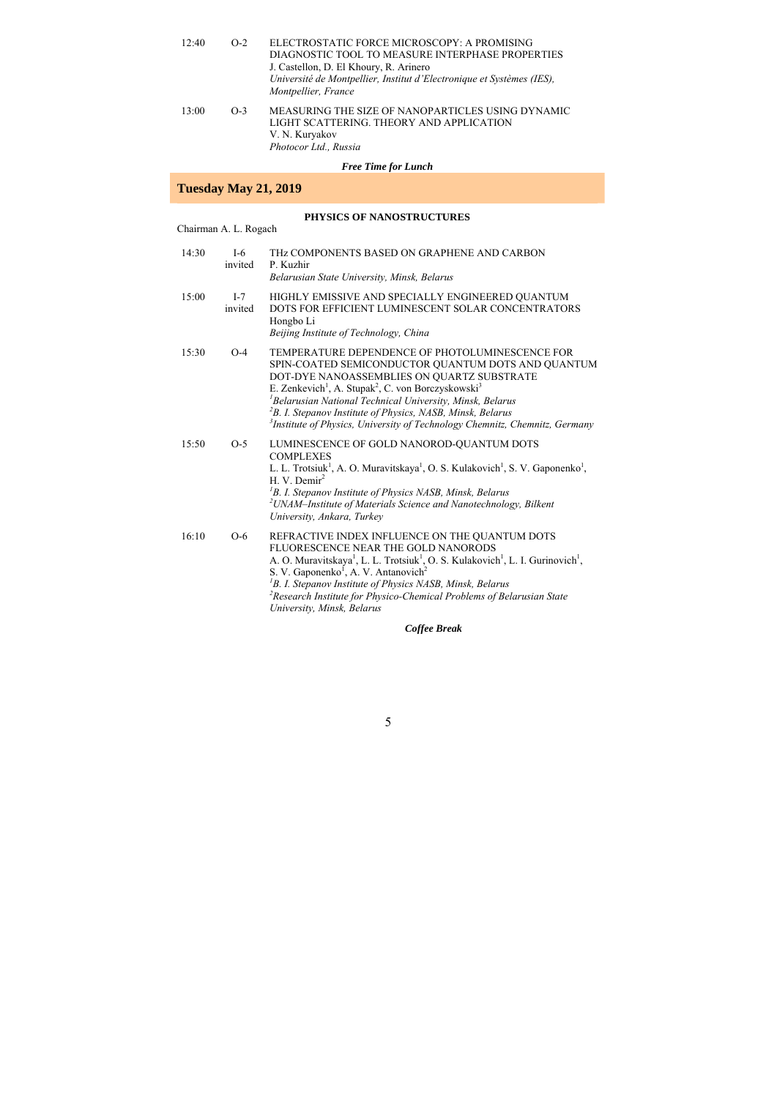| 12:40 | $O-2$ | ELECTROSTATIC FORCE MICROSCOPY: A PROMISING<br>DIAGNOSTIC TOOL TO MEASURE INTERPHASE PROPERTIES<br>J. Castellon, D. El Khoury, R. Arinero<br>Université de Montpellier, Institut d'Electronique et Systèmes (IES),<br>Montpellier, France |
|-------|-------|-------------------------------------------------------------------------------------------------------------------------------------------------------------------------------------------------------------------------------------------|
| 13:00 | $O-3$ | MEASURING THE SIZE OF NANOPARTICLES USING DYNAMIC<br>LIGHT SCATTERING. THEORY AND APPLICATION<br>V. N. Kuryakov<br>Photocor Ltd., Russia                                                                                                  |
|       |       | <b>Free Time for Lunch</b>                                                                                                                                                                                                                |

# **Tuesday May 21, 2019**

### **PHYSICS OF NANOSTRUCTURES**

Chairman A. L. Rogach

| 14:30 | $I-6$<br>invited | THZ COMPONENTS BASED ON GRAPHENE AND CARBON<br>P. Kuzhir<br>Belarusian State University, Minsk, Belarus                                                                                                                                                                                                                                                                                                                                                                                     |
|-------|------------------|---------------------------------------------------------------------------------------------------------------------------------------------------------------------------------------------------------------------------------------------------------------------------------------------------------------------------------------------------------------------------------------------------------------------------------------------------------------------------------------------|
| 15:00 | $I-7$<br>invited | HIGHLY EMISSIVE AND SPECIALLY ENGINEERED QUANTUM<br>DOTS FOR EFFICIENT LUMINESCENT SOLAR CONCENTRATORS<br>Hongbo Li<br>Beijing Institute of Technology, China                                                                                                                                                                                                                                                                                                                               |
| 15:30 | $O-4$            | TEMPERATURE DEPENDENCE OF PHOTOLUMINESCENCE FOR<br>SPIN-COATED SEMICONDUCTOR QUANTUM DOTS AND QUANTUM<br>DOT-DYE NANOASSEMBLIES ON QUARTZ SUBSTRATE<br>E. Zenkevich <sup>1</sup> , A. Stupak <sup>2</sup> , C. von Borczyskowski <sup>3</sup><br><sup>1</sup> Belarusian National Technical University, Minsk, Belarus<br><sup>2</sup> B. I. Stepanov Institute of Physics, NASB, Minsk, Belarus<br><sup>3</sup> Institute of Physics, University of Technology Chemnitz, Chemnitz, Germany |
| 15:50 | $O-5$            | LUMINESCENCE OF GOLD NANOROD-QUANTUM DOTS<br><b>COMPLEXES</b><br>L. L. Trotsiuk <sup>1</sup> , A. O. Muravitskaya <sup>1</sup> , O. S. Kulakovich <sup>1</sup> , S. V. Gaponenko <sup>1</sup> ,<br>H. V. Demir <sup>2</sup><br><sup>1</sup> B. I. Stepanov Institute of Physics NASB, Minsk, Belarus<br><sup>2</sup> UNAM-Institute of Materials Science and Nanotechnology, Bilkent<br>University, Ankara, Turkey                                                                          |
| 16:10 | $O-6$            | REFRACTIVE INDEX INFLUENCE ON THE QUANTUM DOTS<br>FLUORESCENCE NEAR THE GOLD NANORODS<br>A. O. Muravitskaya <sup>1</sup> , L. L. Trotsiuk <sup>1</sup> , O. S. Kulakovich <sup>1</sup> , L. I. Gurinovich <sup>1</sup> ,<br>S. V. Gaponenko <sup>1</sup> , A. V. Antanovich <sup>2</sup><br><sup>1</sup> B. I. Stepanov Institute of Physics NASB, Minsk, Belarus<br><sup>2</sup> Research Institute for Physico-Chemical Problems of Belarusian State<br>University, Minsk, Belarus        |

### *Coffee Break*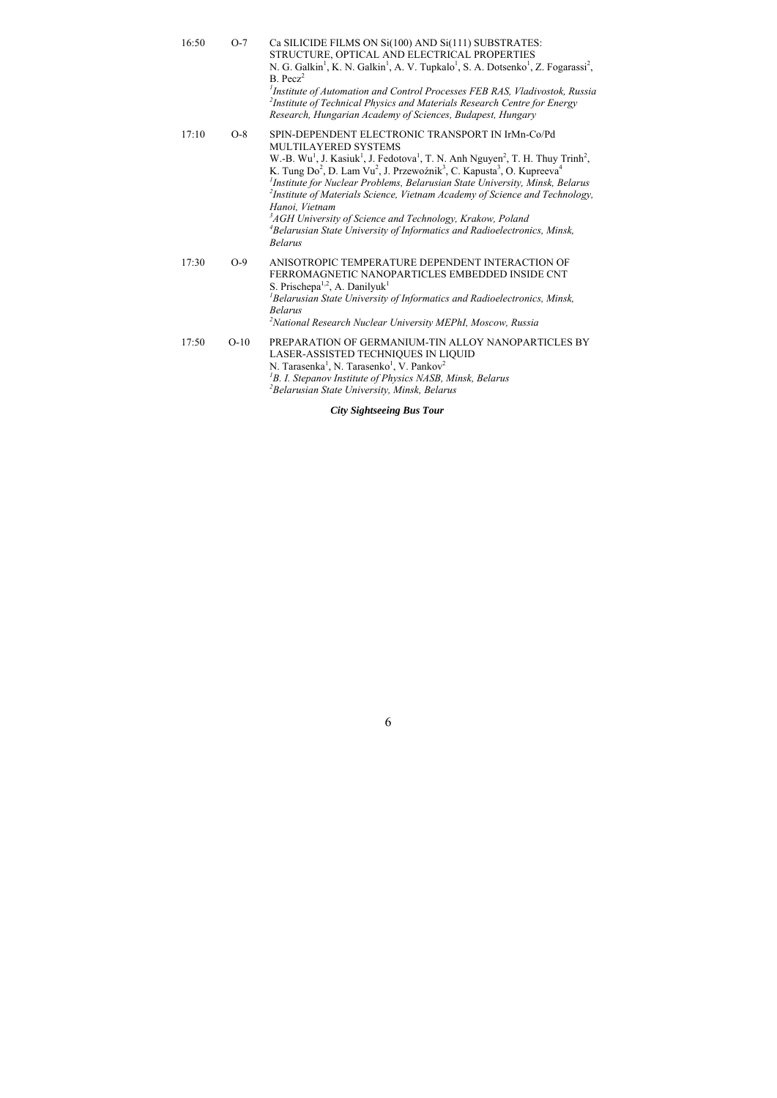| 16:50 | $O-7$  | Ca SILICIDE FILMS ON Si(100) AND Si(111) SUBSTRATES:<br>STRUCTURE, OPTICAL AND ELECTRICAL PROPERTIES<br>N. G. Galkin <sup>1</sup> , K. N. Galkin <sup>1</sup> , A. V. Tupkalo <sup>1</sup> , S. A. Dotsenko <sup>1</sup> , Z. Fogarassi <sup>2</sup> ,<br>$B.$ Pecz <sup>2</sup><br><sup>1</sup> Institute of Automation and Control Processes FEB RAS, Vladivostok, Russia<br><sup>2</sup> Institute of Technical Physics and Materials Research Centre for Energy<br>Research, Hungarian Academy of Sciences, Budapest, Hungary                                                                                                                                                                                                                          |
|-------|--------|------------------------------------------------------------------------------------------------------------------------------------------------------------------------------------------------------------------------------------------------------------------------------------------------------------------------------------------------------------------------------------------------------------------------------------------------------------------------------------------------------------------------------------------------------------------------------------------------------------------------------------------------------------------------------------------------------------------------------------------------------------|
| 17:10 | $O-8$  | SPIN-DEPENDENT ELECTRONIC TRANSPORT IN IrMn-Co/Pd<br>MULTILAYERED SYSTEMS<br>W.-B. Wu <sup>1</sup> , J. Kasiuk <sup>1</sup> , J. Fedotova <sup>1</sup> , T. N. Anh Nguyen <sup>2</sup> , T. H. Thuy Trinh <sup>2</sup> ,<br>K. Tung Do <sup>2</sup> , D. Lam Vu <sup>2</sup> , J. Przewoźnik <sup>3</sup> , C. Kapusta <sup>3</sup> , O. Kupreeva <sup>4</sup><br><sup>1</sup> Institute for Nuclear Problems, Belarusian State University, Minsk, Belarus<br><sup>2</sup> Institute of Materials Science, Vietnam Academy of Science and Technology,<br>Hanoi. Vietnam<br><sup>3</sup> AGH University of Science and Technology, Krakow, Poland<br><sup>4</sup> Belarusian State University of Informatics and Radioelectronics, Minsk,<br><b>Belarus</b> |
| 17:30 | $O-9$  | ANISOTROPIC TEMPERATURE DEPENDENT INTERACTION OF<br>FERROMAGNETIC NANOPARTICLES EMBEDDED INSIDE CNT<br>S. Prischepa <sup>1,2</sup> , A. Danilyuk <sup>1</sup><br><sup>1</sup> Belarusian State University of Informatics and Radioelectronics, Minsk,<br><b>Belarus</b><br><sup>2</sup> National Research Nuclear University MEPhI, Moscow, Russia                                                                                                                                                                                                                                                                                                                                                                                                         |
| 17:50 | $O-10$ | PREPARATION OF GERMANIUM-TIN ALLOY NANOPARTICLES BY<br>LASER-ASSISTED TECHNIQUES IN LIQUID<br>N. Tarasenka <sup>1</sup> , N. Tarasenko <sup>1</sup> , V. Pankov <sup>2</sup><br><sup>1</sup> B. I. Stepanov Institute of Physics NASB, Minsk, Belarus<br><sup>2</sup> Belarusian State University, Minsk, Belarus                                                                                                                                                                                                                                                                                                                                                                                                                                          |

## *City Sightseeing Bus Tour*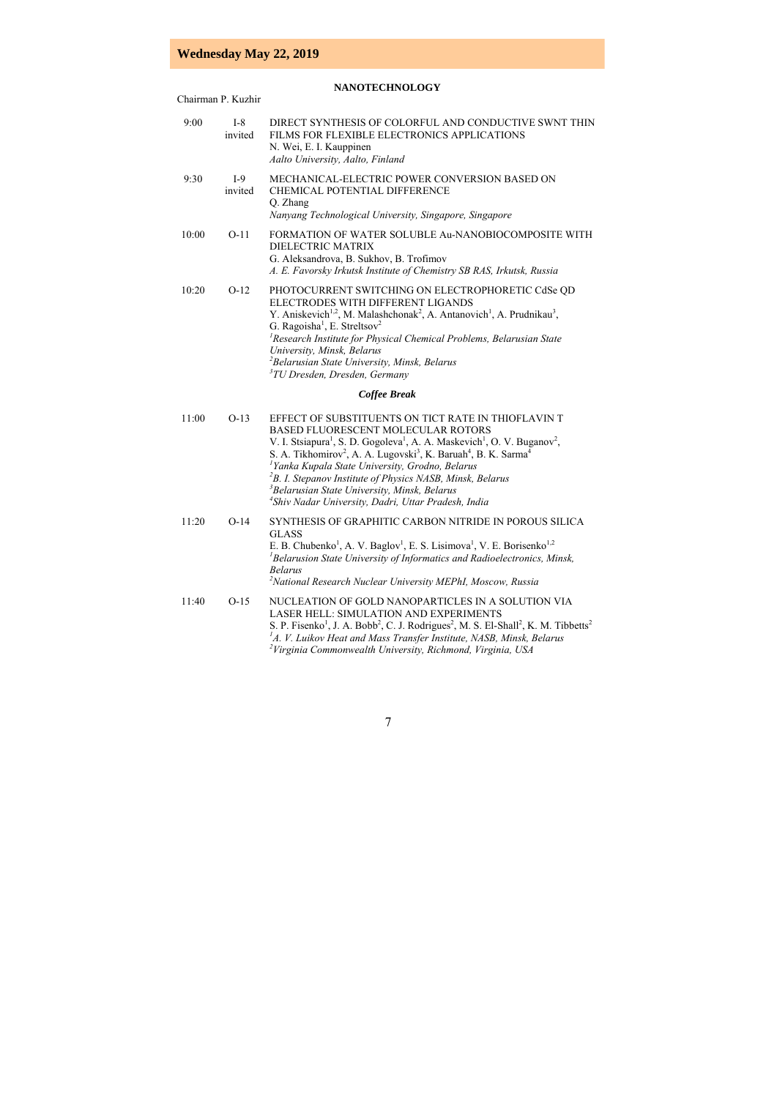# **Wednesday May 22, 2019**

## **NANOTECHNOLOGY**

Chairman P. Kuzhir

| 9:00  | $I-8$<br>invited | DIRECT SYNTHESIS OF COLORFUL AND CONDUCTIVE SWNT THIN<br>FILMS FOR FLEXIBLE ELECTRONICS APPLICATIONS<br>N. Wei, E. I. Kauppinen<br>Aalto University, Aalto, Finland                                                                                                                                                                                                                                                                                                                                                                                                                                             |
|-------|------------------|-----------------------------------------------------------------------------------------------------------------------------------------------------------------------------------------------------------------------------------------------------------------------------------------------------------------------------------------------------------------------------------------------------------------------------------------------------------------------------------------------------------------------------------------------------------------------------------------------------------------|
| 9:30  | $I-9$<br>invited | MECHANICAL-ELECTRIC POWER CONVERSION BASED ON<br><b>CHEMICAL POTENTIAL DIFFERENCE</b><br>Q. Zhang<br>Nanyang Technological University, Singapore, Singapore                                                                                                                                                                                                                                                                                                                                                                                                                                                     |
| 10:00 | $O-11$           | FORMATION OF WATER SOLUBLE Au-NANOBIOCOMPOSITE WITH<br>DIELECTRIC MATRIX<br>G. Aleksandrova, B. Sukhov, B. Trofimov<br>A. E. Favorsky Irkutsk Institute of Chemistry SB RAS, Irkutsk, Russia                                                                                                                                                                                                                                                                                                                                                                                                                    |
| 10:20 | $O-12$           | PHOTOCURRENT SWITCHING ON ELECTROPHORETIC CdSe QD<br>ELECTRODES WITH DIFFERENT LIGANDS<br>Y. Aniskevich <sup>1,2</sup> , M. Malashchonak <sup>2</sup> , A. Antanovich <sup>1</sup> , A. Prudnikau <sup>3</sup> ,<br>G. Ragoisha <sup>1</sup> , E. Streltsov <sup>2</sup><br><sup>1</sup> Research Institute for Physical Chemical Problems, Belarusian State<br>University, Minsk, Belarus<br><sup>2</sup> Belarusian State University, Minsk, Belarus<br><sup>3</sup> TU Dresden, Dresden, Germany                                                                                                             |
|       |                  | <b>Coffee Break</b>                                                                                                                                                                                                                                                                                                                                                                                                                                                                                                                                                                                             |
| 11:00 | $O-13$           | EFFECT OF SUBSTITUENTS ON TICT RATE IN THIOFLAVIN T<br>BASED FLUORESCENT MOLECULAR ROTORS<br>V. I. Stsiapura <sup>1</sup> , S. D. Gogoleva <sup>1</sup> , A. A. Maskevich <sup>1</sup> , O. V. Buganov <sup>2</sup> ,<br>S. A. Tikhomirov <sup>2</sup> , A. A. Lugovski <sup>3</sup> , K. Baruah <sup>4</sup> , B. K. Sarma <sup>4</sup><br><sup>1</sup> Yanka Kupala State University, Grodno, Belarus<br><sup>2</sup> B. I. Stepanov Institute of Physics NASB, Minsk, Belarus<br><sup>3</sup> Belarusian State University, Minsk, Belarus<br><sup>4</sup> Shiv Nadar University, Dadri, Uttar Pradesh, India |
| 11:20 | $O-14$           | SYNTHESIS OF GRAPHITIC CARBON NITRIDE IN POROUS SILICA<br><b>GLASS</b><br>E. B. Chubenko <sup>1</sup> , A. V. Baglov <sup>1</sup> , E. S. Lisimova <sup>1</sup> , V. E. Borisenko <sup>1,2</sup><br>${}^{1}$ Belarusion State University of Informatics and Radioelectronics, Minsk,<br><b>Belarus</b><br><sup>2</sup> National Research Nuclear University MEPhI, Moscow, Russia                                                                                                                                                                                                                               |
| 11:40 | $O-15$           | NUCLEATION OF GOLD NANOPARTICLES IN A SOLUTION VIA<br>LASER HELL: SIMULATION AND EXPERIMENTS<br>S. P. Fisenko <sup>1</sup> , J. A. Bobb <sup>2</sup> , C. J. Rodrigues <sup>2</sup> , M. S. El-Shall <sup>2</sup> , K. M. Tibbetts <sup>2</sup><br>$ATA$ . V. Luikov Heat and Mass Transfer Institute, NASB, Minsk, Belarus<br><sup>2</sup> Virginia Commonwealth University, Richmond, Virginia, USA                                                                                                                                                                                                           |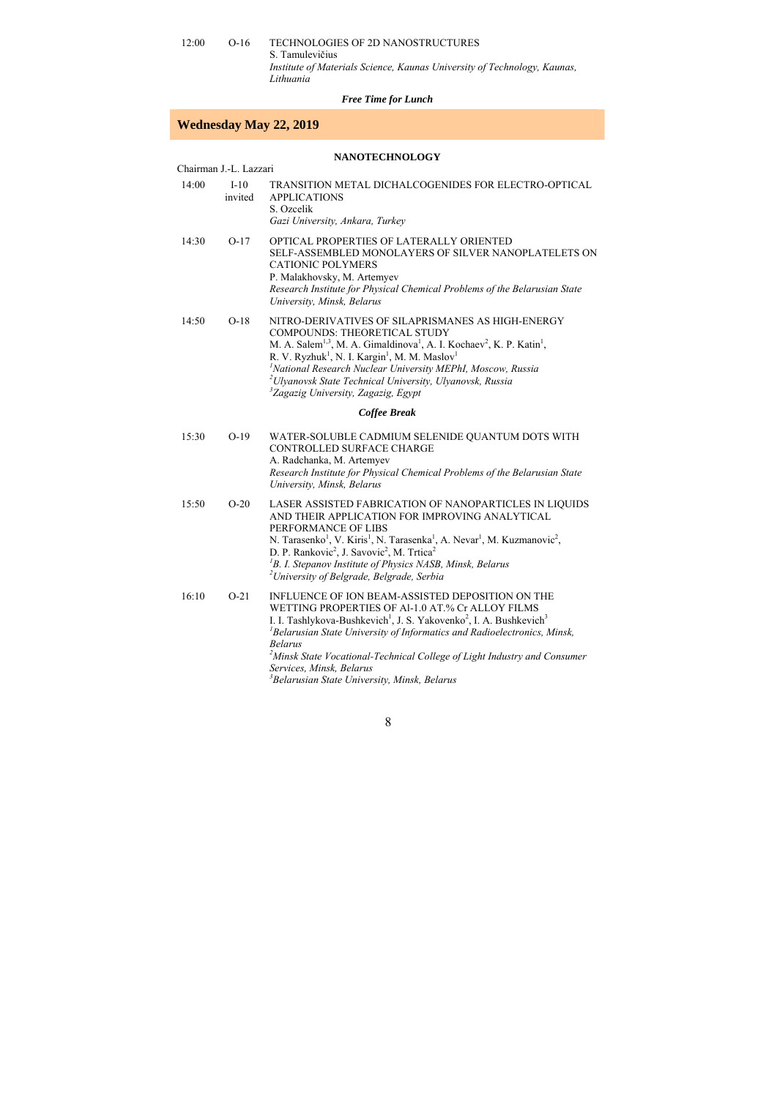12:00 O-16 TECHNOLOGIES OF 2D NANOSTRUCTURES S. Tamulevičius *Institute of Materials Science, Kaunas University of Technology, Kaunas, Lithuania* 

#### *Free Time for Lunch*

### **Wednesday May 22, 2019**

#### **NANOTECHNOLOGY**

Chairman J.-L. Lazzari

| 14:00 | $I-10$<br>invited | TRANSITION METAL DICHALCOGENIDES FOR ELECTRO-OPTICAL<br>APPLICATIONS<br>S. Ozcelik |
|-------|-------------------|------------------------------------------------------------------------------------|
|       |                   | Gazi University, Ankara, Turkey                                                    |
| 14:30 | $O-17$            | OPTICAL PROPERTIES OF LATERALLY ORIENTED                                           |

- 14:30 O-17 OPTICAL PROPERTIES OF LATERALLY ORIENTED SELF-ASSEMBLED MONOLAYERS OF SILVER NANOPLATELETS ON CATIONIC POLYMERS P. Malakhovsky, M. Artemyev *Research Institute for Physical Chemical Problems of the Belarusian State University, Minsk, Belarus*
- 14:50 O-18 NITRO-DERIVATIVES OF SILAPRISMANES AS HIGH-ENERGY COMPOUNDS: THEORETICAL STUDY M. A. Salem<sup>1,3</sup>, M. A. Gimaldinova<sup>1</sup>, A. I. Kochaev<sup>2</sup>, K. P. Katin<sup>1</sup>, R. V. Ryzhuk<sup>1</sup>, N. I. Kargin<sup>1</sup>, M. M. Maslov<sup>1</sup> <sup>*1</sup>National Research Nuclear University MEPhI, Moscow, Russia*<br><sup>2</sup>Ulyanovsk State Technical University, Ulyanovsk, Pussia</sup> *Ulyanovsk State Technical University, Ulyanovsk, Russia 3 Zagazig University, Zagazig, Egypt*

#### *Coffee Break*

| 15:30 | $O-19$ | WATER-SOLUBLE CADMIUM SELENIDE OUANTUM DOTS WITH                          |
|-------|--------|---------------------------------------------------------------------------|
|       |        | <b>CONTROLLED SURFACE CHARGE</b>                                          |
|       |        | A. Radchanka, M. Artemyev                                                 |
|       |        | Research Institute for Physical Chemical Problems of the Belarusian State |
|       |        | University, Minsk, Belarus                                                |
|       |        |                                                                           |

15:50 O-20 LASER ASSISTED FABRICATION OF NANOPARTICLES IN LIQUIDS AND THEIR APPLICATION FOR IMPROVING ANALYTICAL PERFORMANCE OF LIBS N. Tarasenko<sup>1</sup>, V. Kiris<sup>1</sup>, N. Tarasenka<sup>1</sup>, A. Nevar<sup>1</sup>, M. Kuzmanovic<sup>2</sup>, D. P. Rankovic<sup>2</sup>, J. Savovic<sup>2</sup>, M. Trtica<sup>2</sup> <sup>1</sup>B. I. Stepanov Institute of Physics NASB, Minsk, Belarus <sup>2</sup>Linivarsity of Belarade, Belarade, Sarbia *University of Belgrade, Belgrade, Serbia* 

16:10 O-21 INFLUENCE OF ION BEAM-ASSISTED DEPOSITION ON THE WETTING PROPERTIES OF Al-1.0 АT.% Cr ALLOY FILMS I. I. Tashlykova-Bushkevich<sup>1</sup>, J. S. Yakovenko<sup>2</sup>, I. A. Bushkevich<sup>3</sup> *1 Belarusian State University of Informatics and Radioelectronics, Minsk, Belarus*  <sup>2</sup> Minsk State Vocational-Technical College of Light Industry and Consumer *Services, Minsk, Belarus 3 Belarusian State University, Minsk, Belarus*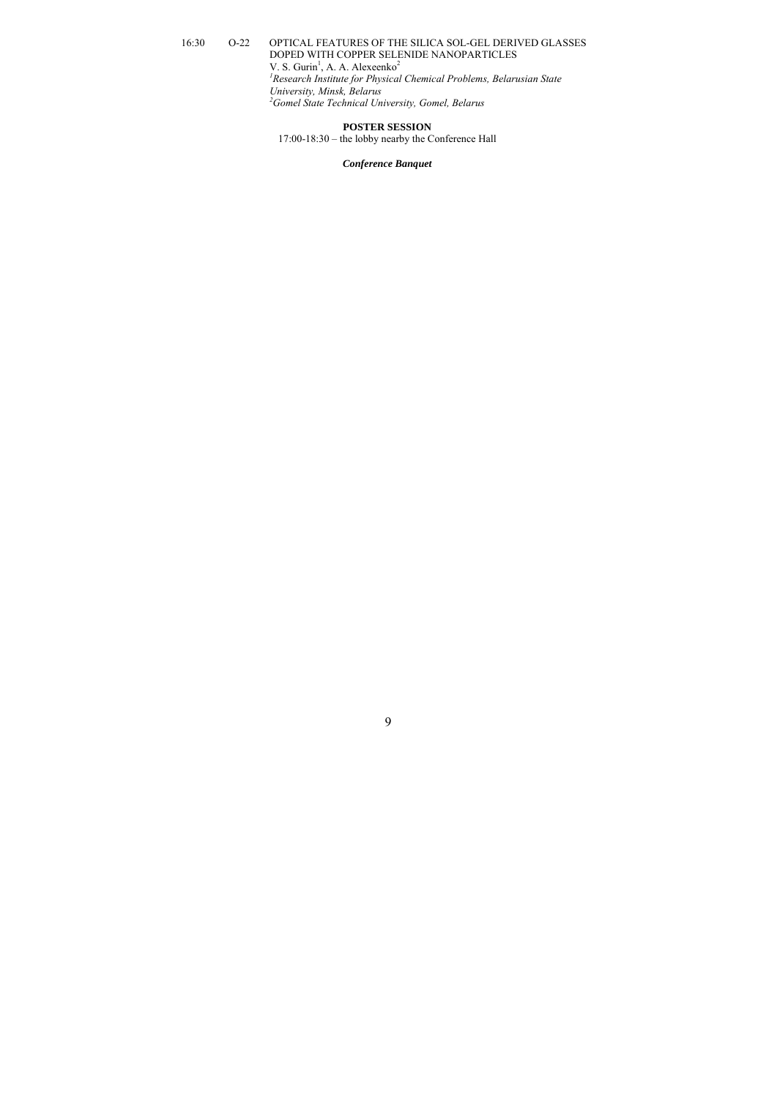#### 16:30 O-22 OPTICAL FEATURES OF THE SILICA SOL-GEL DERIVED GLASSES DOPED WITH COPPER SELENIDE NANOPARTICLES  $V. S. Gurin<sup>1</sup>, A. A. Alexeenko<sup>2</sup>$ *1 Research Institute for Physical Chemical Problems, Belarusian State University, Minsk, Belarus 2 Gomel State Technical University, Gomel, Belarus*

#### **POSTER SESSION**

17:00-18:30 – the lobby nearby the Conference Hall

#### *Conference Banquet*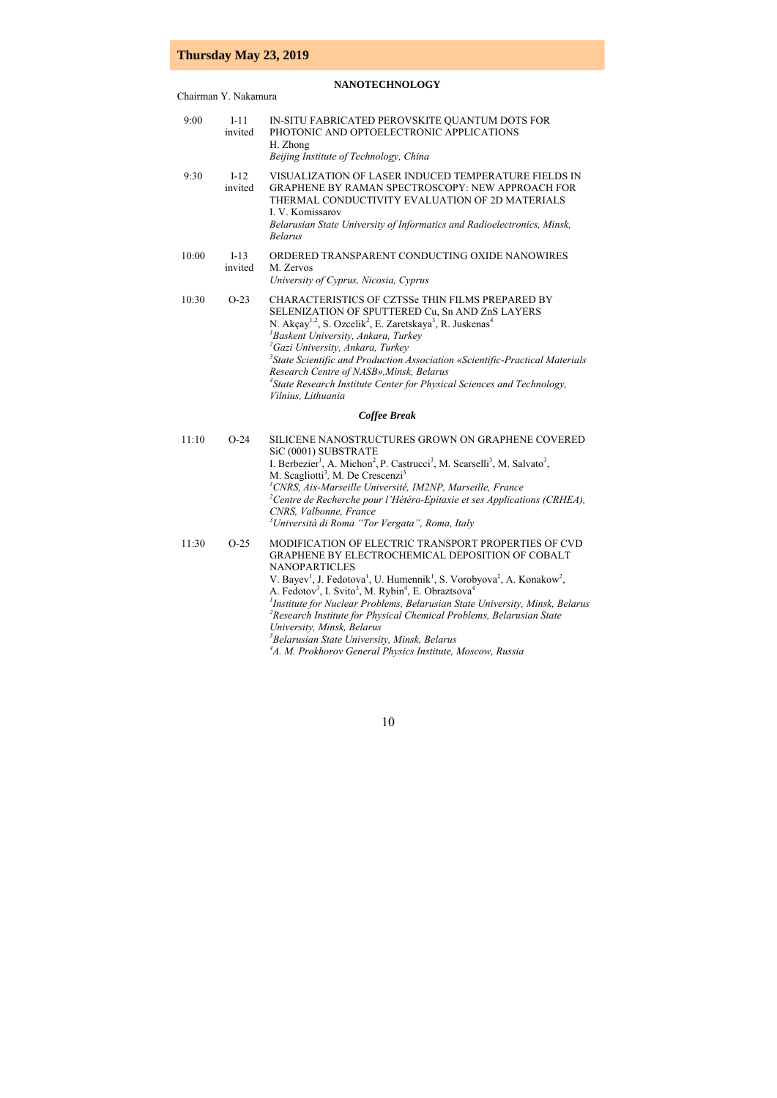# **Thursday May 23, 2019**

### **NANOTECHNOLOGY**

Chairman Y. Nakamura

| 9:00  | $I-11$<br>invited | IN-SITU FABRICATED PEROVSKITE QUANTUM DOTS FOR<br>PHOTONIC AND OPTOELECTRONIC APPLICATIONS<br>H. Zhong<br>Beijing Institute of Technology, China                                                                                                                                                                                                                                                                                                                                                                                                                                                                                                                                                                                    |
|-------|-------------------|-------------------------------------------------------------------------------------------------------------------------------------------------------------------------------------------------------------------------------------------------------------------------------------------------------------------------------------------------------------------------------------------------------------------------------------------------------------------------------------------------------------------------------------------------------------------------------------------------------------------------------------------------------------------------------------------------------------------------------------|
| 9:30  | $I-12$<br>invited | VISUALIZATION OF LASER INDUCED TEMPERATURE FIELDS IN<br><b>GRAPHENE BY RAMAN SPECTROSCOPY: NEW APPROACH FOR</b><br>THERMAL CONDUCTIVITY EVALUATION OF 2D MATERIALS<br>I. V. Komissarov<br>Belarusian State University of Informatics and Radioelectronics, Minsk,<br><b>Belarus</b>                                                                                                                                                                                                                                                                                                                                                                                                                                                 |
| 10:00 | $I-13$<br>invited | ORDERED TRANSPARENT CONDUCTING OXIDE NANOWIRES<br>M. Zervos<br>University of Cyprus, Nicosia, Cyprus                                                                                                                                                                                                                                                                                                                                                                                                                                                                                                                                                                                                                                |
| 10:30 | $O-23$            | CHARACTERISTICS OF CZTSSe THIN FILMS PREPARED BY<br>SELENIZATION OF SPUTTERED Cu, Sn AND ZnS LAYERS<br>N. Akçay <sup>1,2</sup> , S. Ozcelik <sup>2</sup> , E. Zaretskaya <sup>3</sup> , R. Juskenas <sup>4</sup><br><sup>1</sup> Baskent University, Ankara, Turkey<br><sup>2</sup> Gazi University, Ankara, Turkey<br><sup>3</sup> State Scientific and Production Association «Scientific-Practical Materials<br>Research Centre of NASB», Minsk, Belarus<br><sup>4</sup> State Research Institute Center for Physical Sciences and Technology,<br>Vilnius, Lithuania                                                                                                                                                             |
|       |                   | <b>Coffee Break</b>                                                                                                                                                                                                                                                                                                                                                                                                                                                                                                                                                                                                                                                                                                                 |
| 11:10 | $O-24$            | SILICENE NANOSTRUCTURES GROWN ON GRAPHENE COVERED<br>SiC (0001) SUBSTRATE<br>I. Berbezier <sup>1</sup> , A. Michon <sup>2</sup> , P. Castrucci <sup>3</sup> , M. Scarselli <sup>3</sup> , M. Salvato <sup>3</sup> ,<br>M. Scagliotti <sup>3</sup> , M. De Crescenzi <sup>3</sup><br><sup>1</sup> CNRS, Aix-Marseille Université, IM2NP, Marseille, France<br><sup>2</sup> Centre de Recherche pour l'Hétéro-Epitaxie et ses Applications (CRHEA),<br>CNRS, Valbonne, France<br><sup>3</sup> Università di Roma "Tor Vergata", Roma, Italy                                                                                                                                                                                           |
| 11:30 | $O-25$            | MODIFICATION OF ELECTRIC TRANSPORT PROPERTIES OF CVD<br>GRAPHENE BY ELECTROCHEMICAL DEPOSITION OF COBALT<br><b>NANOPARTICLES</b><br>V. Bayev <sup>1</sup> , J. Fedotova <sup>1</sup> , U. Humennik <sup>1</sup> , S. Vorobyova <sup>2</sup> , A. Konakow <sup>2</sup> ,<br>A. Fedotov <sup>3</sup> , I. Svito <sup>3</sup> , M. Rybin <sup>4</sup> , E. Obraztsova <sup>4</sup><br><sup>1</sup> Institute for Nuclear Problems, Belarusian State University, Minsk, Belarus<br><sup>2</sup> Research Institute for Physical Chemical Problems, Belarusian State<br>University, Minsk, Belarus<br><sup>3</sup> Belarusian State University, Minsk, Belarus<br><sup>4</sup> A. M. Prokhorov General Physics Institute, Moscow, Russia |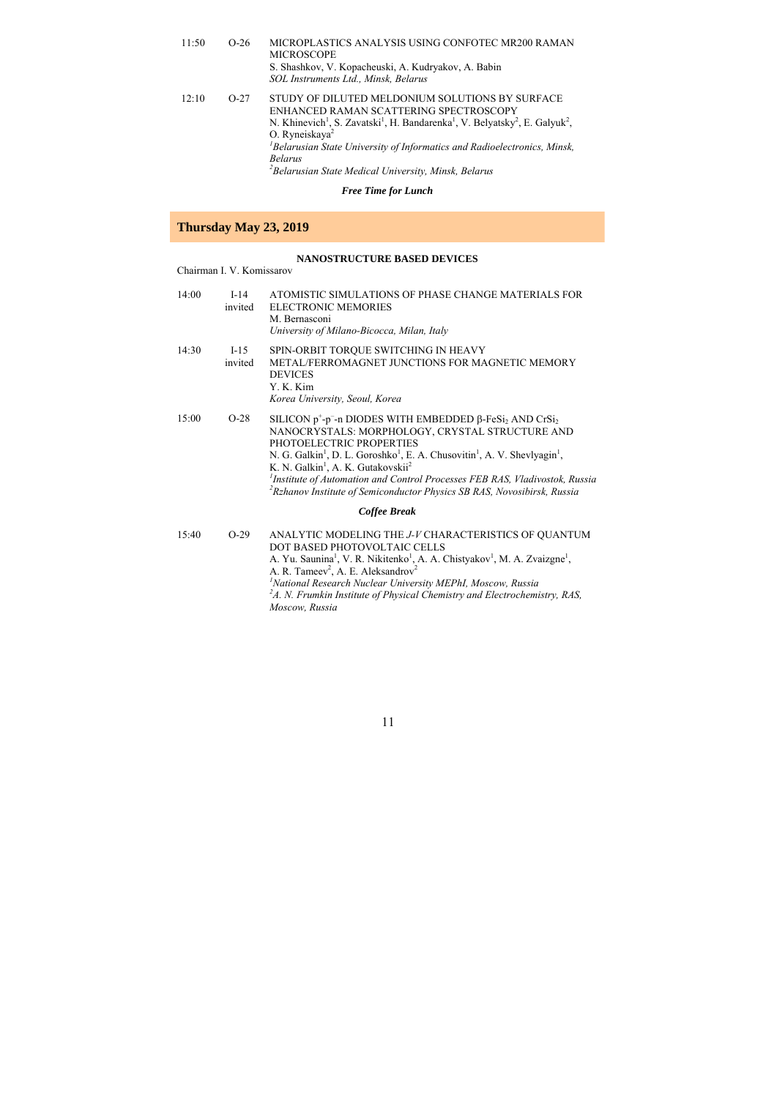| 11:50 | $O-26$ | MICROPLASTICS ANALYSIS USING CONFOTEC MR200 RAMAN<br><b>MICROSCOPE</b><br>S. Shashkov, V. Kopacheuski, A. Kudryakov, A. Babin<br>SOL Instruments Ltd., Minsk, Belarus                                                                                                                                                                                                                                                                             |
|-------|--------|---------------------------------------------------------------------------------------------------------------------------------------------------------------------------------------------------------------------------------------------------------------------------------------------------------------------------------------------------------------------------------------------------------------------------------------------------|
| 12:10 | $O-27$ | STUDY OF DILUTED MELDONIUM SOLUTIONS BY SURFACE<br>ENHANCED RAMAN SCATTERING SPECTROSCOPY<br>N. Khinevich <sup>1</sup> , S. Zavatski <sup>1</sup> , H. Bandarenka <sup>1</sup> , V. Belvatsky <sup>2</sup> , E. Galvuk <sup>2</sup> ,<br>O. Ryneiskaya <sup>2</sup><br><sup>1</sup> Belarusian State University of Informatics and Radioelectronics, Minsk,<br><b>Belarus</b><br><sup>2</sup> Belarusian State Medical University, Minsk, Belarus |

#### *Free Time for Lunch*

# **Thursday May 23, 2019**

#### **NANOSTRUCTURE BASED DEVICES**

### Chairman I. V. Komissarov

| 14:00 | $I-14$<br>invited | ATOMISTIC SIMULATIONS OF PHASE CHANGE MATERIALS FOR<br><b>ELECTRONIC MEMORIES</b><br>M. Bernasconi<br>University of Milano-Bicocca, Milan, Italy                                                                                                                                                                                                                                                                                                                                                                                   |
|-------|-------------------|------------------------------------------------------------------------------------------------------------------------------------------------------------------------------------------------------------------------------------------------------------------------------------------------------------------------------------------------------------------------------------------------------------------------------------------------------------------------------------------------------------------------------------|
| 14:30 | $I-15$<br>invited | SPIN-ORBIT TORQUE SWITCHING IN HEAVY<br>METAL/FERROMAGNET JUNCTIONS FOR MAGNETIC MEMORY<br><b>DEVICES</b><br>Y. K. Kim<br>Korea University, Seoul, Korea                                                                                                                                                                                                                                                                                                                                                                           |
| 15:00 | $O-28$            | SILICON $p^+$ - $p^-$ -n DIODES WITH EMBEDDED $\beta$ -FeSi, AND CrSi,<br>NANOCRYSTALS: MORPHOLOGY, CRYSTAL STRUCTURE AND<br>PHOTOELECTRIC PROPERTIES<br>N. G. Galkin <sup>1</sup> , D. L. Goroshko <sup>1</sup> , E. A. Chusovitin <sup>1</sup> , A. V. Shevlyagin <sup>1</sup> ,<br>K. N. Galkin <sup>1</sup> , A. K. Gutakovskii <sup>2</sup><br><sup>1</sup> Institute of Automation and Control Processes FEB RAS, Vladivostok, Russia<br><sup>2</sup> Rzhanov Institute of Semiconductor Physics SB RAS, Novosibirsk, Russia |
|       |                   | Coffee Break                                                                                                                                                                                                                                                                                                                                                                                                                                                                                                                       |
| 15:40 | $O-29$            | ANALYTIC MODELING THE J-V CHARACTERISTICS OF QUANTUM<br>DOT BASED PHOTOVOLTAIC CELLS                                                                                                                                                                                                                                                                                                                                                                                                                                               |

A. Yu. Saunina<sup>1</sup>, V. R. Nikitenko<sup>1</sup>, A. A. Chistyakov<sup>1</sup>, M. A. Zvaizgne<sup>1</sup>, A. R. Tameev<sup>2</sup>, A. E. Aleksandrov<sup>2</sup> <sup>1</sup> National Research Nuclear University MEPhI, Moscow, Russia<br><sup>2</sup>A. N. Frumkin Institute of Physical Chemistry and Electrochemistry, RAS,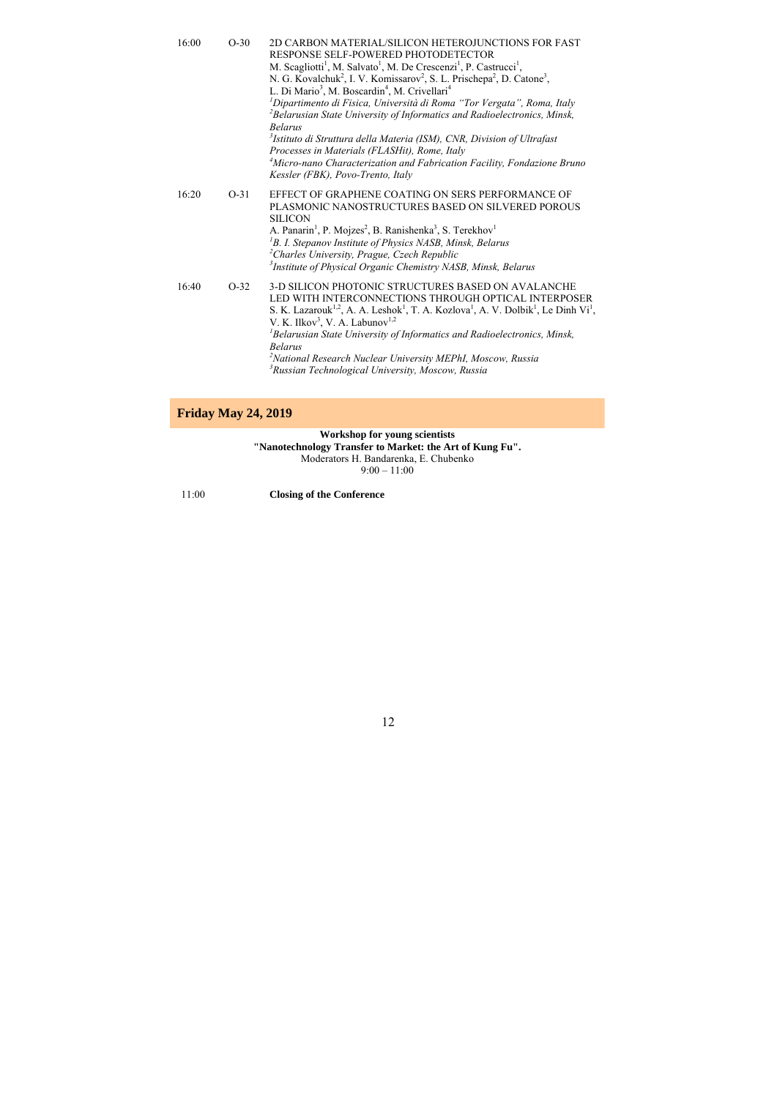| 16:00 | $O-30$ | 2D CARBON MATERIAL/SILICON HETEROJUNCTIONS FOR FAST<br>RESPONSE SELF-POWERED PHOTODETECTOR<br>M. Scagliotti <sup>1</sup> , M. Salvato <sup>1</sup> , M. De Crescenzi <sup>1</sup> , P. Castrucci <sup>1</sup> ,<br>N. G. Kovalchuk <sup>2</sup> , I. V. Komissarov <sup>2</sup> , S. L. Prischepa <sup>2</sup> , D. Catone <sup>3</sup> ,<br>L. Di Mario <sup>3</sup> , M. Boscardin <sup>4</sup> , M. Crivellari <sup>4</sup><br><sup>1</sup> Dipartimento di Fisica, Università di Roma "Tor Vergata", Roma, Italy<br><sup>2</sup> Belarusian State University of Informatics and Radioelectronics, Minsk,<br><b>Belarus</b><br><sup>3</sup> Istituto di Struttura della Materia (ISM), CNR, Division of Ultrafast<br>Processes in Materials (FLASHit), Rome, Italy<br><sup>4</sup> Micro-nano Characterization and Fabrication Facility, Fondazione Bruno<br>Kessler (FBK), Povo-Trento, Italy |
|-------|--------|---------------------------------------------------------------------------------------------------------------------------------------------------------------------------------------------------------------------------------------------------------------------------------------------------------------------------------------------------------------------------------------------------------------------------------------------------------------------------------------------------------------------------------------------------------------------------------------------------------------------------------------------------------------------------------------------------------------------------------------------------------------------------------------------------------------------------------------------------------------------------------------------------|
| 16:20 | $O-31$ | EFFECT OF GRAPHENE COATING ON SERS PERFORMANCE OF<br>PLASMONIC NANOSTRUCTURES BASED ON SILVERED POROUS<br><b>SILICON</b><br>A. Panarin <sup>1</sup> , P. Mojzes <sup>2</sup> , B. Ranishenka <sup>3</sup> , S. Terekhov <sup>1</sup><br><sup>1</sup> B. I. Stepanov Institute of Physics NASB, Minsk, Belarus<br><sup>2</sup> Charles University, Prague, Czech Republic<br><sup>3</sup> Institute of Physical Organic Chemistry NASB, Minsk, Belarus                                                                                                                                                                                                                                                                                                                                                                                                                                             |
| 16:40 | $O-32$ | 3-D SILICON PHOTONIC STRUCTURES BASED ON AVALANCHE<br>LED WITH INTERCONNECTIONS THROUGH OPTICAL INTERPOSER<br>S. K. Lazarouk <sup>1,2</sup> , A. A. Leshok <sup>1</sup> , T. A. Kozlova <sup>1</sup> , A. V. Dolbik <sup>1</sup> , Le Dinh Vi <sup>1</sup> ,<br>V. K. Ilkov <sup>3</sup> , V. A. Labunov <sup>1,2</sup><br>${}^{1}$ Belarusian State University of Informatics and Radioelectronics, Minsk,<br><b>Belarus</b><br><sup>2</sup> National Research Nuclear University MEPhI, Moscow, Russia<br><sup>3</sup> Russian Technological University, Moscow, Russia                                                                                                                                                                                                                                                                                                                         |

# **Friday May 24, 2019**

**Workshop for young scientists "Nanotechnology Transfer to Market: the Art of Kung Fu".**  Moderators H. Bandarenka, E. Chubenko

 $9:00 - 11:00$ 

11:00 **Closing of the Conference**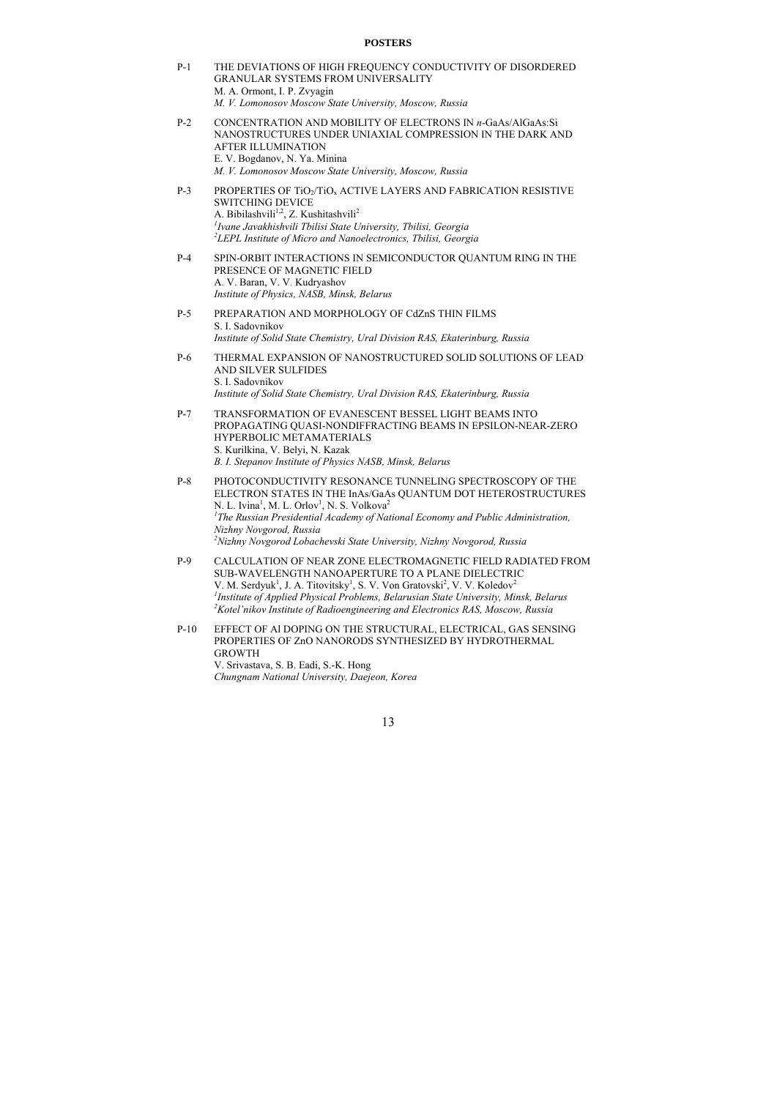#### **POSTERS**

- P-1 THE DEVIATIONS OF HIGH FREQUENCY CONDUCTIVITY OF DISORDERED GRANULAR SYSTEMS FROM UNIVERSALITY M. A. Ormont, I. P. Zvyagin *M. V. Lomonosov Moscow State University, Moscow, Russia*
- P-2 CONCENTRATION AND MOBILITY OF ELECTRONS IN *n*-GaAs/AlGaAs:Si NANOSTRUCTURES UNDER UNIAXIAL COMPRESSION IN THE DARK AND AFTER ILLUMINATION E. V. Bogdanov, N. Ya. Minina *M. V. Lomonosov Moscow State University, Moscow, Russia*
- P-3 PROPERTIES OF TIO<sub>2</sub>/TIO<sub>2</sub> ACTIVE LAYERS AND FABRICATION RESISTIVE SWITCHING DEVICE A. Bibilashvili<sup>1,2</sup>, Z. Kushitashvili<sup>2</sup> *1 Ivane Javakhishvili Tbilisi State University, Tbilisi, Georgia 2 LEPL Institute of Micro and Nanoelectronics, Tbilisi, Georgia*
- P-4 SPIN-ORBIT INTERACTIONS IN SEMICONDUCTOR QUANTUM RING IN THE PRESENCE OF MAGNETIC FIELD A. V. Baran, V. V. Kudryashov *Institute of Physics, NASB, Minsk, Belarus*
- P-5 PREPARATION AND MORPHOLOGY OF CdZnS THIN FILMS S. I. Sadovnikov *Institute of Solid State Chemistry, Ural Division RAS, Ekaterinburg, Russia*
- P-6 THERMAL EXPANSION OF NANOSTRUCTURED SOLID SOLUTIONS OF LEAD AND SILVER SULFIDES S. I. Sadovnikov *Institute of Solid State Chemistry, Ural Division RAS, Ekaterinburg, Russia*
- P-7 TRANSFORMATION OF EVANESCENT BESSEL LIGHT BEAMS INTO PROPAGATING QUASI-NONDIFFRACTING BEAMS IN EPSILON-NEAR-ZERO HYPERBOLIC METAMATERIALS S. Kurilkina, V. Belyi, N. Kazak *B. I. Stepanov Institute of Physics NASB, Minsk, Belarus*
- P-8 PHOTOCONDUCTIVITY RESONANCE TUNNELING SPECTROSCOPY OF THE ELECTRON STATES IN THE InAs/GaAs QUANTUM DOT HETEROSTRUCTURES N. L. Ivina<sup>1</sup>, M. L. Orlov<sup>1</sup>, N. S. Volkova<sup>2</sup> <sup>1</sup>The Russian Presidential Academy of National Economy and Public Administration, *Nizhny Novgorod, Russia 2 Nizhny Novgorod Lobachevski State University, Nizhny Novgorod, Russia*
- P-9 CALCULATION OF NEAR ZONE ELECTROMAGNETIC FIELD RADIATED FROM SUB-WAVELENGTH NANOAPERTURE TO A PLANE DIELECTRIC V. M. Serdyuk<sup>1</sup>, J. A. Titovitsky<sup>1</sup>, S. V. Von Gratovski<sup>2</sup>, V. V. Koledov<sup>2</sup> <sup>*I</sup>Institute of Applied Physical Problems, Belarusian State University, Minsk, Belarus<br><sup>2</sup>Ketel'nikon Institute of Padisonginearing and Electronics PAS, Moseou, Pussia</sup>* <sup>2</sup> Kotel'nikov Institute of Radioengineering and Electronics RAS, Moscow, Russia
- P-10 EFFECT OF Al DOPING ON THE STRUCTURAL, ELECTRICAL, GAS SENSING PROPERTIES OF ZnO NANORODS SYNTHESIZED BY HYDROTHERMAL GROWTH V. Srivastava, S. B. Eadi, S.-K. Hong *Chungnam National University, Daejeon, Korea*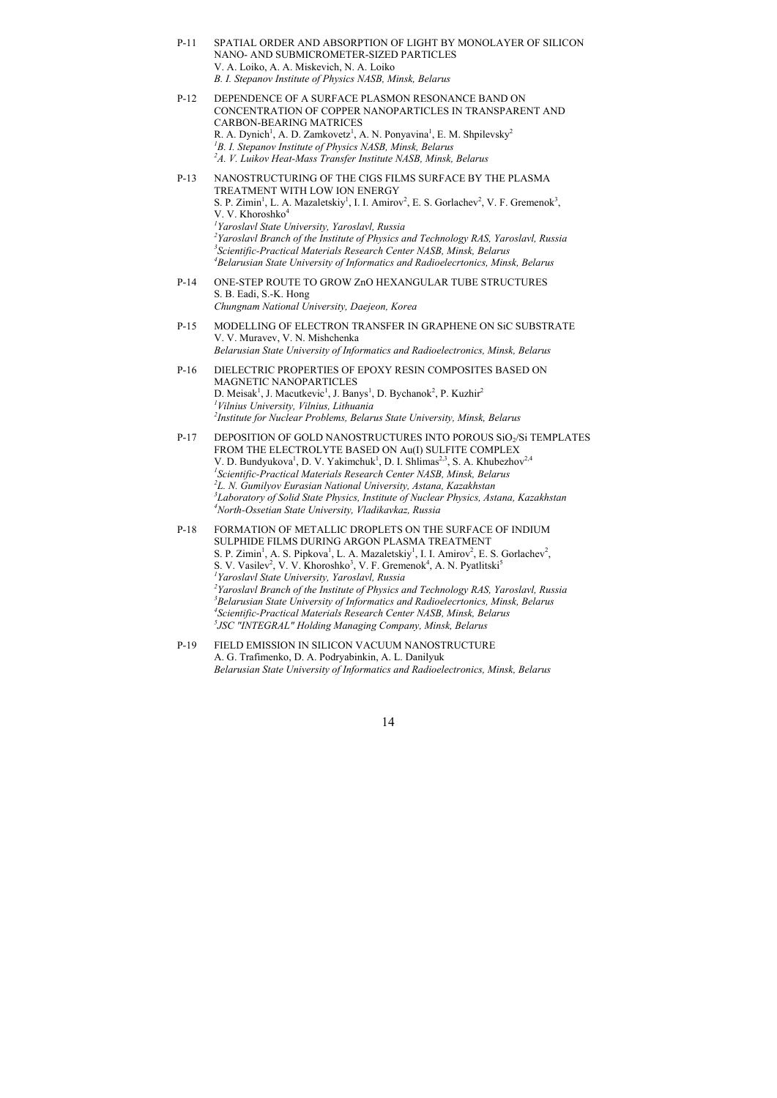- P-11 SPATIAL ORDER AND ABSORPTION OF LIGHT BY MONOLAYER OF SILICON NANO- AND SUBMICROMETER-SIZED PARTICLES V. A. Loiko, A. A. Miskevich, N. A. Loiko *B. I. Stepanov Institute of Physics NASB, Minsk, Belarus*
- P-12 DEPENDENCE OF A SURFACE PLASMON RESONANCE BAND ON CONCENTRATION OF COPPER NANOPARTICLES IN TRANSPARENT AND CARBON-BEARING MATRICES R. A. Dynich<sup>1</sup>, A. D. Zamkovetz<sup>1</sup>, A. N. Ponyavina<sup>1</sup>, E. M. Shpilevsky<sup>2</sup> <sup>1</sup>B. I. Stepanov Institute of Physics NASB, Minsk, Belarus<br><sup>2</sup>A V. Luikov Heat-Mass Transfer Institute NASB, Minsk <sup>2</sup>A. V. Luikov Heat-Mass Transfer Institute NASB, Minsk, Belarus
- P-13 NANOSTRUCTURING OF THE CIGS FILMS SURFACE BY THE PLASMA TREATMENT WITH LOW ION ENERGY S. P. Zimin<sup>1</sup>, L. A. Mazaletskiy<sup>1</sup>, I. I. Amirov<sup>2</sup>, E. S. Gorlachev<sup>2</sup>, V. F. Gremenok<sup>3</sup>, V. V. Khoroshko<sup>4</sup> *1 Yaroslavl State University, Yaroslavl, Russia*  <sup>2</sup> Yaroslavl Branch of the Institute of Physics and Technology RAS, Yaroslavl, Russia<br><sup>3</sup>Scientific Practical Materials Research Center NASR, Minsk, Relarns *Scientific-Practical Materials Research Center NASB, Minsk, Belarus 4 Belarusian State University of Informatics and Radioelecrtonics, Minsk, Belarus*
- P-14 ONE-STEP ROUTE TO GROW ZnO HEXANGULAR TUBE STRUCTURES S. B. Eadi, S.-K. Hong *Chungnam National University, Daejeon, Korea*
- P-15 MODELLING OF ELECTRON TRANSFER IN GRAPHENE ON SiC SUBSTRATE V. V. Muravev, V. N. Mishchenka *Belarusian State University of Informatics and Radioelectronics, Minsk, Belarus*
- P-16 DIELECTRIC PROPERTIES OF EPOXY RESIN COMPOSITES BASED ON MAGNETIC NANOPARTICLES D. Meisak<sup>1</sup>, J. Macutkevic<sup>1</sup>, J. Banys<sup>1</sup>, D. Bychanok<sup>2</sup>, P. Kuzhir<sup>2</sup> *1 Vilnius University, Vilnius, Lithuania 2 Institute for Nuclear Problems, Belarus State University, Minsk, Belarus*
- P-17 DEPOSITION OF GOLD NANOSTRUCTURES INTO POROUS SiO<sub>2</sub>/Si TEMPLATES FROM THE ELECTROLYTE BASED ON Au(I) SULFITE COMPLEX V. D. Bundyukova<sup>1</sup>, D. V. Yakimchuk<sup>1</sup>, D. I. Shlimas<sup>2,3</sup>, S. A. Khubezhov<sup>2,4</sup> *1 Scientific-Practical Materials Research Center NASB, Minsk, Belarus 2 L. N. Gumilyov Eurasian National University, Astana, Kazakhstan*  <sup>3</sup>Laboratory of Solid State Physics, Institute of Nuclear Physics, Astana, Kazakhstan<br><sup>4</sup>North Ossatian State University, *Vladikaykaz, Pussia North-Ossetian State University, Vladikavkaz, Russia*
- P-18 FORMATION OF METALLIC DROPLETS ON THE SURFACE OF INDIUM SULPHIDE FILMS DURING ARGON PLASMA TREATMENT S. P. Zimin<sup>1</sup>, A. S. Pipkova<sup>1</sup>, L. A. Mazaletskiy<sup>1</sup>, I. I. Amirov<sup>2</sup>, E. S. Gorlachev<sup>2</sup>, S. V. Vasilev<sup>2</sup>, V. V. Khoroshko<sup>3</sup>, V. F. Gremenok<sup>4</sup>, A. N. Pyatlitski<sup>5</sup> *1 Yaroslavl State University, Yaroslavl, Russia*  <sup>2</sup> Yaroslavl Branch of the Institute of Physics and Technology RAS, Yaroslavl, Russia <sup>3</sup> Polanus *Belarusian State University of Informatics and Radioelecrtonics, Minsk, Belarus 4* <sup>4</sup> Scientific-Practical Materials Research Center NASB, Minsk, Belarus *JSC "INTEGRAL" Holding Managing Company, Minsk, Belarus*
- P-19 FIELD EMISSION IN SILICON VACUUM NANOSTRUCTURE A. G. Trafimenko, D. A. Podryabinkin, A. L. Danilyuk *Belarusian State University of Informatics and Radioelectronics, Minsk, Belarus*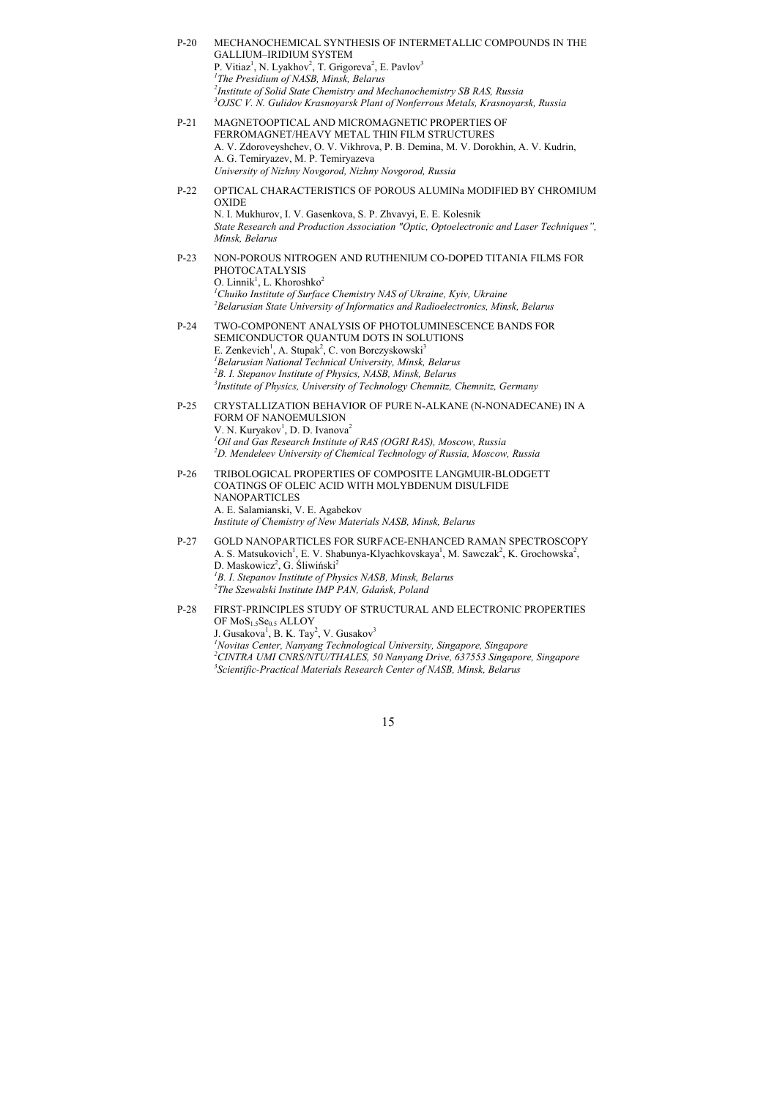- P-20 MECHANOCHEMICAL SYNTHESIS OF INTERMETALLIC COMPOUNDS IN THE GALLIUM–IRIDIUM SYSTEM P. Vitiaz<sup>1</sup>, N. Lyakhov<sup>2</sup>, T. Grigoreva<sup>2</sup>, E. Pavlov<sup>3</sup> *1 The Presidium of NASB, Minsk, Belarus*  <sup>2</sup>Institute of Solid State Chemistry and Mechanochemistry SB RAS, Russia *Institute of Solid State Chemistry and Mechanochemistry SB RAS, Russia 3 OJSC V. N. Gulidov Krasnoyarsk Plant of Nonferrous Metals, Krasnoyarsk, Russia*
- P-21 MAGNETOOPTICAL AND MICROMAGNETIC PROPERTIES OF FERROMAGNET/HEAVY METAL THIN FILM STRUCTURES A. V. Zdoroveyshchev, O. V. Vikhrova, P. B. Demina, M. V. Dorokhin, A. V. Kudrin, A. G. Temiryazev, M. P. Temiryazeva *University of Nizhny Novgorod, Nizhny Novgorod, Russia*
- P-22 OPTICAL CHARACTERISTICS OF POROUS ALUMINa MODIFIED BY CHROMIUM OXIDE N. I. Mukhurov, I. V. Gasenkova, S. P. Zhvavyi, E. E. Kolesnik *State Research and Production Association "Optic, Optoelectronic and Laser Techniques", Minsk, Belarus*  P-23 NON-POROUS NITROGEN AND RUTHENIUM CO-DOPED TITANIA FILMS FOR
- PHOTOCATALYSIS O. Linnik<sup>1</sup>, L. Khoroshko<sup>2</sup> <sup>1</sup> Chuiko Institute of Surface Chemistry NAS of Ukraine, Kyiv, Ukraine<br><sup>2</sup> Belarusian State University of Informatics and Badioelectronics, Min *Belarusian State University of Informatics and Radioelectronics, Minsk, Belarus*
- P-24 TWO-COMPONENT ANALYSIS OF PHOTOLUMINESCENCE BANDS FOR SEMICONDUCTOR QUANTUM DOTS IN SOLUTIONS E. Zenkevich<sup>1</sup>, A. Stupak<sup>2</sup>, C. von Borczyskowski<sup>3</sup> *1 Belarusian National Technical University, Minsk, Belarus 2 B. I. Stepanov Institute of Physics, NASB, Minsk, Belarus 3 Institute of Physics, University of Technology Chemnitz, Chemnitz, Germany*
- P-25 CRYSTALLIZATION BEHAVIOR OF PURE N-ALKANE (N-NONADECANE) IN A FORM OF NANOEMULSION V. N. Kuryakov<sup>1</sup>, D. D. Ivanova<sup>2</sup> *1 Oil and Gas Research Institute of RAS (OGRI RAS), Moscow, Russia 2 D. Mendeleev University of Chemical Technology of Russia, Moscow, Russia*
- P-26 TRIBOLOGICAL PROPERTIES OF COMPOSITE LANGMUIR-BLODGETT COATINGS OF OLEIC ACID WITH MOLYBDENUM DISULFIDE NANOPARTICLES A. E. Salamianski, V. E. Agabekov *Institute of Chemistry of New Materials NASB, Minsk, Belarus*
- P-27 GOLD NANOPARTICLES FOR SURFACE-ENHANCED RAMAN SPECTROSCOPY A. S. Matsukovich<sup>1</sup>, E. V. Shabunya-Klyachkovskaya<sup>1</sup>, M. Sawczak<sup>2</sup>, K. Grochowska<sup>2</sup>, D. Maskowicz<sup>2</sup>, G. Śliwiński<sup>2</sup> <sup>1</sup>B. I. Stepanov Institute of Physics NASB, Minsk, Belarus <sup>2</sup>The Szevelski Institute *MP PAN, Gdańsk, Poland The Szewalski Institute IMP PAN, Gdańsk, Poland*
- P-28 FIRST-PRINCIPLES STUDY OF STRUCTURAL AND ELECTRONIC PROPERTIES OF MoS<sub>1.5</sub>Se<sub>0.5</sub> ALLOY J. Gusakova<sup>1</sup>, B. K. Tay<sup>2</sup>, V. Gusakov<sup>3</sup> <sup>*1</sup>Novitas Center, Nanyang Technological University, Singapore, Singapore*<br><sup>2</sup>CINTP 4 LIMI CNPS/NTU/TH 41 FS, 50 Nanyang Drive, 627552 Singapore</sup> *CINTRA UMI CNRS/NTU/THALES, 50 Nanyang Drive, 637553 Singapore, Singapore 3 Scientific-Practical Materials Research Center of NASB, Minsk, Belarus*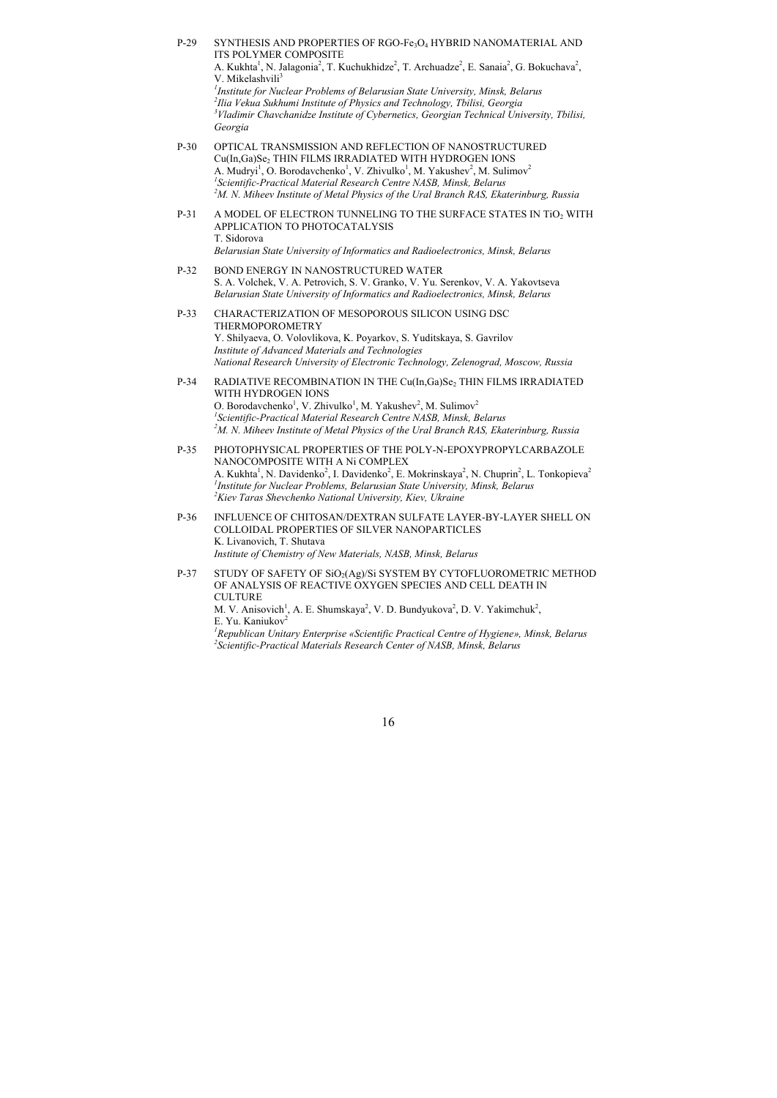P-29 SYNTHESIS AND PROPERTIES OF RGO-Fe3O4 HYBRID NANOMATERIAL AND ITS POLYMER COMPOSITE A. Kukhta<sup>1</sup>, N. Jalagonia<sup>2</sup>, T. Kuchukhidze<sup>2</sup>, T. Archuadze<sup>2</sup>, E. Sanaia<sup>2</sup>, G. Bokuchava<sup>2</sup>, V. Mikelashvili<sup>3</sup>

<sup>1</sup> Institute for Nuclear Problems of Belarusian State University, Minsk, Belarus<br><sup>2</sup> Ilia Vekua Sukhumi Institute of Physics and Technology, Thilisi, Georgia *Ilia Vekua Sukhumi Institute of Physics and Technology, Tbilisi, Georgia 3 Vladimir Chavchanidze Institute of Cybernetics, Georgian Technical University, Tbilisi, Georgia* 

- P-30 OPTICAL TRANSMISSION AND REFLECTION OF NANOSTRUCTURED Cu(In,Ga)Se<sub>2</sub> THIN FILMS IRRADIATED WITH HYDROGEN IONS A. Mudryi<sup>1</sup>, O. Borodavchenko<sup>1</sup>, V. Zhivulko<sup>1</sup>, M. Yakushev<sup>2</sup>, M. Sulimov<sup>2</sup> <sup>1</sup> Scientific-Practical Material Research Centre NASB, Minsk, Belarus<br><sup>2</sup>M N. Miheev Institute of Metal Physics of the Ural Branch RAS, Eka *M. N. Miheev Institute of Metal Physics of the Ural Branch RAS, Ekaterinburg, Russia*
- P-31 A MODEL OF ELECTRON TUNNELING TO THE SURFACE STATES IN TiO<sub>2</sub> WITH APPLICATION TO PHOTOCATALYSIS T. Sidorova *Belarusian State University of Informatics and Radioelectronics, Minsk, Belarus*
- P-32 BOND ENERGY IN NANOSTRUCTURED WATER S. A. Volchek, V. A. Petrovich, S. V. Granko, V. Yu. Serenkov, V. A. Yakovtseva *Belarusian State University of Informatics and Radioelectronics, Minsk, Belarus*
- P-33 CHARACTERIZATION OF MESOPOROUS SILICON USING DSC THERMOPOROMETRY Y. Shilyaeva, O. Volovlikova, K. Poyarkov, S. Yuditskaya, S. Gavrilov *Institute of Advanced Materials and Technologies National Research University of Electronic Technology, Zelenograd, Moscow, Russia*
- P-34 RADIATIVE RECOMBINATION IN THE Cu(In,Ga)Se<sub>2</sub> THIN FILMS IRRADIATED WITH HYDROGEN IONS O. Borodavchenko<sup>1</sup>, V. Zhivulko<sup>1</sup>, M. Yakushev<sup>2</sup>, M. Sulimov<sup>2</sup> <sup>1</sup> Scientific-Practical Material Research Centre NASB, Minsk, Belarus<br><sup>2</sup>M N. Miham Institute of Matal Physics of the Ural Branch PAS, Eka *M. N. Miheev Institute of Metal Physics of the Ural Branch RAS, Ekaterinburg, Russia*
- P-35 PHOTOPHYSICAL PROPERTIES OF THE POLY-N-EPOXYPROPYLCARBAZOLE NANOCOMPOSITE WITH A Ni COMPLEX A. Kukhta<sup>1</sup>, N. Davidenko<sup>2</sup>, I. Davidenko<sup>2</sup>, E. Mokrinskaya<sup>2</sup>, N. Chuprin<sup>2</sup>, L. Tonkopieva<sup>2</sup> <sup>1</sup> Institute for Nuclear Problems, Belarusian State University, Minsk, Belarus<br><sup>2</sup>Kiay Taras Shayehanko National University, Kiay Ukraine *Kiev Taras Shevchenko National University, Kiev, Ukraine*
- P-36 INFLUENCE OF CHITOSAN/DEXTRAN SULFATE LAYER-BY-LAYER SHELL ON COLLOIDAL PROPERTIES OF SILVER NANOPARTICLES K. Livanovich, T. Shutava *Institute of Chemistry of New Materials, NASB, Minsk, Belarus*

P-37 STUDY OF SAFETY OF SiO<sub>2</sub>(Ag)/Si SYSTEM BY CYTOFLUOROMETRIC METHOD OF ANALYSIS OF REACTIVE OXYGEN SPECIES AND CELL DEATH IN **CULTURE** M. V. Anisovich<sup>1</sup>, A. E. Shumskaya<sup>2</sup>, V. D. Bundyukova<sup>2</sup>, D. V. Yakimchuk<sup>2</sup>, E. Yu. Kaniukov<sup>2</sup> <sup>1</sup> Republican Unitary Enterprise «Scientific Practical Centre of Hygiene», Minsk, Belarus<br><sup>2</sup>Scientific Practical Materials Research Center of NASB, Minsk, Belarus *Scientific-Practical Materials Research Center of NASB, Minsk, Belarus*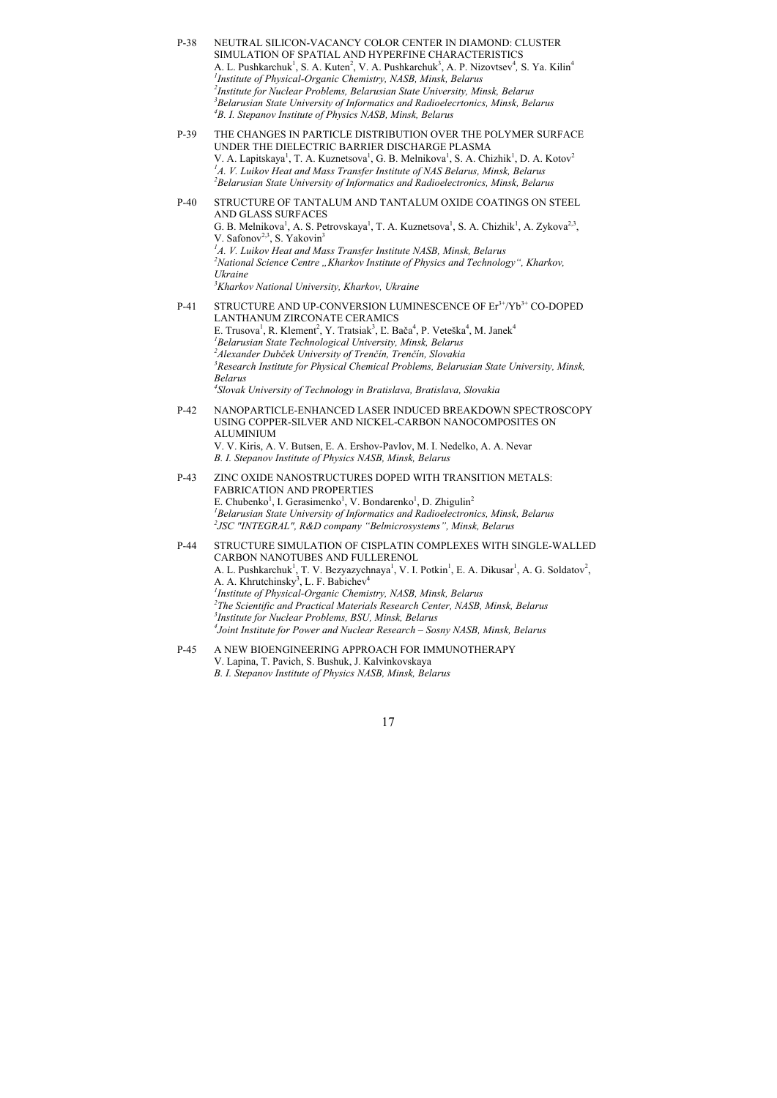- P-38 NEUTRAL SILICON-VACANCY COLOR CENTER IN DIAMOND: CLUSTER SIMULATION OF SPATIAL AND HYPERFINE CHARACTERISTICS A. L. Pushkarchuk<sup>1</sup>, S. A. Kuten<sup>2</sup>, V. A. Pushkarchuk<sup>3</sup>, A. P. Nizovtsev<sup>4</sup>, S. Ya. Kilin<sup>4</sup> *1 Institute of Physical-Organic Chemistry, NASB, Minsk, Belarus 2 Institute for Nuclear Problems, Belarusian State University, Minsk, Belarus 3 Belarusian State University of Informatics and Radioelecrtonics, Minsk, Belarus 4 B. I. Stepanov Institute of Physics NASB, Minsk, Belarus*
- P-39 THE CHANGES IN PARTICLE DISTRIBUTION OVER THE POLYMER SURFACE UNDER THE DIELECTRIC BARRIER DISCHARGE PLASMA V. A. Lapitskaya<sup>1</sup>, T. A. Kuznetsova<sup>1</sup>, G. B. Melnikova<sup>1</sup>, S. A. Chizhik<sup>1</sup>, D. A. Kotov<sup>2</sup> <sup>1</sup>A. *V. Luikov Heat and Mass Transfer Institute of NAS Belarus, Minsk, Belarus*<br><sup>2</sup> Belarusian State University of Informatics and Badioelectronics, Minsk, Belaru *Belarusian State University of Informatics and Radioelectronics, Minsk, Belarus*

P-40 STRUCTURE OF TANTALUM AND TANTALUM OXIDE COATINGS ON STEEL AND GLASS SURFACES G. B. Melnikova<sup>1</sup>, A. S. Petrovskaya<sup>1</sup>, T. A. Kuznetsova<sup>1</sup>, S. A. Chizhik<sup>1</sup>, A. Zykova<sup>2,3</sup>, V. Safonov<sup>2,3</sup>, S. Yakovin<sup>3</sup> <sup>1</sup>A. *V. Luikov Heat and Mass Transfer Institute NASB, Minsk, Belarus*<br><sup>2</sup>National Science Centre – Kharkov Institute of Physics and Technolog <sup>2</sup> National Science Centre "Kharkov Institute of Physics and Technology", Kharkov, *Ukraine 3 Kharkov National University, Kharkov, Ukraine* 

- P-41 STRUCTURE AND UP-CONVERSION LUMINESCENCE OF Er3+/Yb3+ CO-DOPED LANTHANUM ZIRCONATE CERAMICS E. Trusova<sup>1</sup>, R. Klement<sup>2</sup>, Y. Tratsiak<sup>3</sup>, L. Bača<sup>4</sup>, P. Veteška<sup>4</sup>, M. Janek<sup>4</sup> *1 Belarusian State Technological University, Minsk, Belarus 2 Alexander Dubček University of Trenčín, Trenčín, Slovakia 3 Research Institute for Physical Chemical Problems, Belarusian State University, Minsk, Belarus 4 Slovak University of Technology in Bratislava, Bratislava, Slovakia*
- P-42 NANOPARTICLE-ENHANCED LASER INDUCED BREAKDOWN SPECTROSCOPY USING COPPER-SILVER AND NICKEL-CARBON NANOCOMPOSITES ON ALUMINIUM V. V. Kiris, A. V. Butsen, E. A. Ershov-Pavlov, M. I. Nedelko, A. A. Nevar *B. I. Stepanov Institute of Physics NASB, Minsk, Belarus*
- P-43 ZINC OXIDE NANOSTRUCTURES DOPED WITH TRANSITION METALS: FABRICATION AND PROPERTIES E. Chubenko<sup>1</sup>, I. Gerasimenko<sup>1</sup>, V. Bondarenko<sup>1</sup>, D. Zhigulin<sup>2</sup> <sup>1</sup> Belarusian State University of Informatics and Radioelectronics, Minsk, Belarus <br><sup>2</sup> ISC "INTEGRAL", R.R.D. company "Belmicrosystems", Minsk, Belarus *JSC "INTEGRAL", R&D company "Belmicrosystems", Minsk, Belarus*

P-44 STRUCTURE SIMULATION OF CISPLATIN COMPLEXES WITH SINGLE-WALLED CARBON NANOTUBES AND FULLERENOL A. L. Pushkarchuk<sup>1</sup>, T. V. Bezyazychnaya<sup>1</sup>, V. I. Potkin<sup>1</sup>, E. A. Dikusar<sup>1</sup>, A. G. Soldatov<sup>2</sup>, A. A. Khrutchinsky<sup>3</sup>, L. F. Babichev<sup>4</sup> <sup>1</sup> Institute of Physical-Organic Chemistry, NASB, Minsk, Belarus<br><sup>2</sup>The Scientific and Practical Materials Besearch Center, NASB <sup>2</sup>The Scientific and Practical Materials Research Center, NASB, Minsk, Belarus <sup>3</sup> Institute for Nuclear Problems, BSU, Minsk, Belarus *Joint Institute for Power and Nuclear Research – Sosny NASB, Minsk, Belarus* 

P-45 A NEW BIOENGINEERING APPROACH FOR IMMUNOTHERAPY V. Lapina, T. Pavich, S. Bushuk, J. Kalvinkovskaya *B. I. Stepanov Institute of Physics NASB, Minsk, Belarus*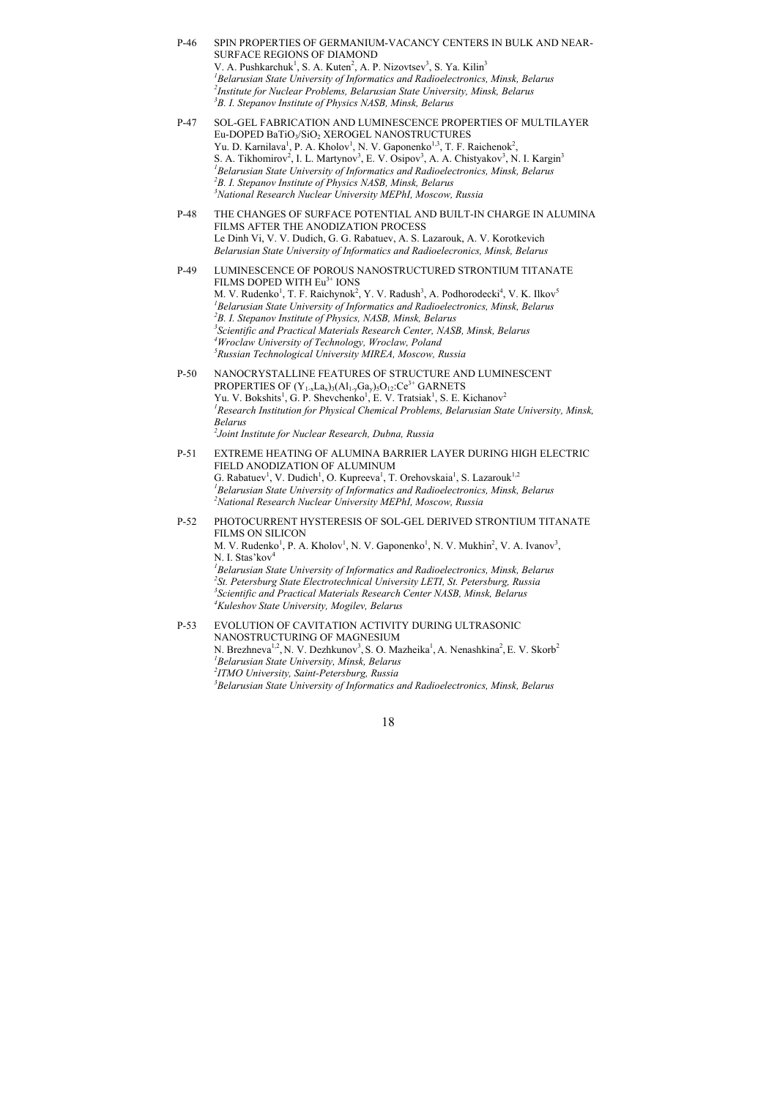- P-46 SPIN PROPERTIES OF GERMANIUM-VACANCY CENTERS IN BULK AND NEAR-SURFACE REGIONS OF DIAMOND V. A. Pushkarchuk<sup>1</sup>, S. A. Kuten<sup>2</sup>, A. P. Nizovtsev<sup>3</sup>, S. Ya. Kilin<sup>3</sup> <sup>1</sup> Belarusian State University of Informatics and Radioelectronics, Minsk, Belarus<br><sup>2</sup>Institute for Nuclear Problems, Belarusian State University, Minsk, Belarus *Institute for Nuclear Problems, Belarusian State University, Minsk, Belarus 3 B. I. Stepanov Institute of Physics NASB, Minsk, Belarus*
- P-47 SOL-GEL FABRICATION AND LUMINESCENCE PROPERTIES OF MULTILAYER Eu-DOPED BaTiO<sub>3</sub>/SiO<sub>2</sub> XEROGEL NANOSTRUCTURES Yu. D. Karnilava<sup>1</sup>, P. A. Kholov<sup>1</sup>, N. V. Gaponenko<sup>1,3</sup>, T. F. Raichenok<sup>2</sup>, S. A. Tikhomirov<sup>2</sup>, I. L. Martynov<sup>3</sup>, E. V. Osipov<sup>3</sup>, A. A. Chistyakov<sup>3</sup>, N. I. Kargin<sup>3</sup> <sup>1</sup> Belarusian State University of Informatics and Radioelectronics, Minsk, Belarus<br><sup>2</sup>B J. Stepanov Institute of Physics NASB, Minsk, Belarus <sup>2</sup>B. I. Stepanov Institute of Physics NASB, Minsk, Belarus *National Research Nuclear University MEPhI, Moscow, Russia*
- P-48 THE CHANGES OF SURFACE POTENTIAL AND BUILT-IN CHARGE IN ALUMINA FILMS AFTER THE ANODIZATION PROCESS Le Dinh Vi, V. V. Dudich, G. G. Rabatuev, A. S. Lazarouk, A. V. Korotkevich *Belarusian State University of Informatics and Radioelecronics, Minsk, Belarus*
- P-49 LUMINESCENCE OF POROUS NANOSTRUCTURED STRONTIUM TITANATE FILMS DOPED WITH Eu<sup>3+</sup> IONS M. V. Rudenko<sup>1</sup>, T. F. Raichynok<sup>2</sup>, Y. V. Radush<sup>3</sup>, A. Podhorodecki<sup>4</sup>, V. K. Ilkov<sup>5</sup> <sup>1</sup> Belarusian State University of Informatics and Radioelectronics, Minsk, Belarus <sup>2</sup>R I Stepanov Institute of Physics NASR Minsk Relarus <sup>2</sup>B. I. Stepanov Institute of Physics, NASB, Minsk, Belarus *Scientific and Practical Materials Research Center, NASB, Minsk, Belarus 4* <sup>4</sup> Wroclaw University of Technology, Wroclaw, Poland *Russian Technological University MIREA, Moscow, Russia*
- P-50 NANOCRYSTALLINE FEATURES OF STRUCTURE AND LUMINESCENT PROPERTIES OF  $(Y_{1-x}La_{x})_3(Al_{1-y}Ga_{y})_5O_{12}$ : $Ce^{3+}$  GARNETS Yu. V. Bokshits<sup>1</sup>, G. P. Shevchenko<sup>1</sup>, E. V. Tratsiak<sup>1</sup>, S. E. Kichanov<sup>2</sup> <sup>1</sup> Research Institution for Physical Chemical Problems, Belarusian State University, Minsk, *Belarus 2 Joint Institute for Nuclear Research, Dubna, Russia*
- P-51 EXTREME HEATING OF ALUMINA BARRIER LAYER DURING HIGH ELECTRIC FIELD ANODIZATION OF ALUMINUM G. Rabatuev<sup>1</sup>, V. Dudich<sup>1</sup>, O. Kupreeva<sup>1</sup>, T. Orehovskaia<sup>1</sup>, S. Lazarouk<sup>1,2</sup> <sup>1</sup> Belarusian State University of Informatics and Radioelectronics, Minsk, Belarus <sup>2</sup> National Basearch Nuclear University MEPh *Moscow Bussia National Research Nuclear University MEPhI, Moscow, Russia*
- P-52 PHOTOCURRENT HYSTERESIS OF SOL-GEL DERIVED STRONTIUM TITANATE FILMS ON SILICON M. V. Rudenko<sup>1</sup>, P. A. Kholov<sup>1</sup>, N. V. Gaponenko<sup>1</sup>, N. V. Mukhin<sup>2</sup>, V. A. Ivanov<sup>3</sup>, N. I. Stas'kov<sup>4</sup> <sup>1</sup> Belarusian State University of Informatics and Radioelectronics, Minsk, Belarus<br><sup>2</sup>St. Petersburg State Electrotechnical University LETL St. Petersburg, Pussia *St. Petersburg State Electrotechnical University LETI, St. Petersburg, Russia 3 Scientific and Practical Materials Research Center NASB, Minsk, Belarus 4 Kuleshov State University, Mogilev, Belarus*
- P-53 EVOLUTION OF CAVITATION ACTIVITY DURING ULTRASONIC NANOSTRUCTURING OF MAGNESIUM N. Brezhneva<sup>1,2</sup>, N. V. Dezhkunov<sup>3</sup>, S. O. Mazheika<sup>1</sup>, A. Nenashkina<sup>2</sup>, E. V. Skorb<sup>2</sup> *1 Belarusian State University, Minsk, Belarus 2 ITMO University, Saint-Petersburg, Russia 3 Belarusian State University of Informatics and Radioelectronics, Minsk, Belarus*